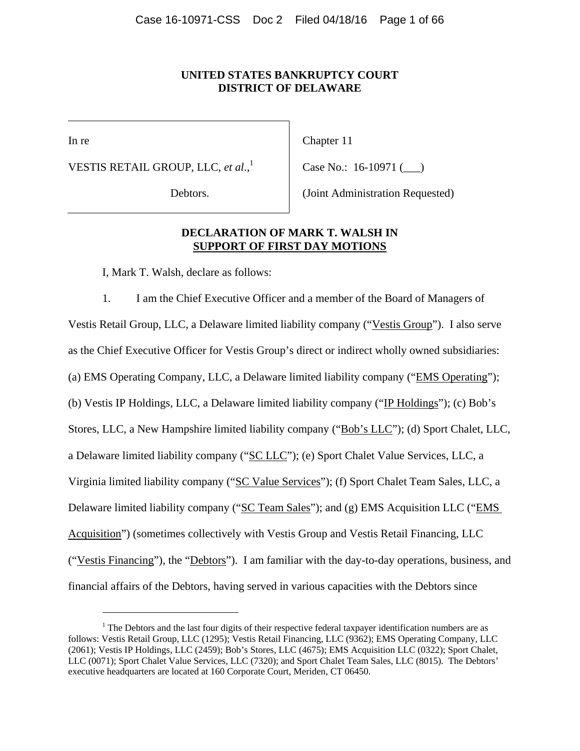# **UNITED STATES BANKRUPTCY COURT DISTRICT OF DELAWARE**

In re

 $\overline{a}$ 

VESTIS RETAIL GROUP, LLC, *et al.*,<sup>1</sup>

Debtors.

Chapter 11

Case No.: 16-10971 (\_\_\_)

(Joint Administration Requested)

# **DECLARATION OF MARK T. WALSH IN SUPPORT OF FIRST DAY MOTIONS**

I, Mark T. Walsh, declare as follows:

1. I am the Chief Executive Officer and a member of the Board of Managers of Vestis Retail Group, LLC, a Delaware limited liability company ("Vestis Group"). I also serve as the Chief Executive Officer for Vestis Group's direct or indirect wholly owned subsidiaries: (a) EMS Operating Company, LLC, a Delaware limited liability company ("EMS Operating"); (b) Vestis IP Holdings, LLC, a Delaware limited liability company ("IP Holdings"); (c) Bob's Stores, LLC, a New Hampshire limited liability company ("Bob's LLC"); (d) Sport Chalet, LLC, a Delaware limited liability company ("SC LLC"); (e) Sport Chalet Value Services, LLC, a Virginia limited liability company ("SC Value Services"); (f) Sport Chalet Team Sales, LLC, a Delaware limited liability company ("SC Team Sales"); and (g) EMS Acquisition LLC ("EMS Acquisition") (sometimes collectively with Vestis Group and Vestis Retail Financing, LLC ("Vestis Financing"), the "Debtors"). I am familiar with the day-to-day operations, business, and financial affairs of the Debtors, having served in various capacities with the Debtors since

 $1$  The Debtors and the last four digits of their respective federal taxpayer identification numbers are as follows: Vestis Retail Group, LLC (1295); Vestis Retail Financing, LLC (9362); EMS Operating Company, LLC (2061); Vestis IP Holdings, LLC (2459); Bob's Stores, LLC (4675); EMS Acquisition LLC (0322); Sport Chalet, LLC (0071); Sport Chalet Value Services, LLC (7320); and Sport Chalet Team Sales, LLC (8015). The Debtors' executive headquarters are located at 160 Corporate Court, Meriden, CT 06450.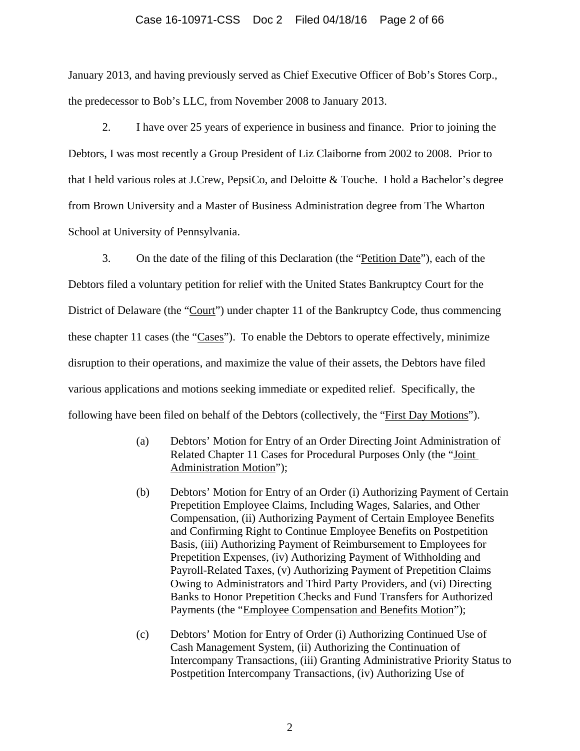### Case 16-10971-CSS Doc 2 Filed 04/18/16 Page 2 of 66

January 2013, and having previously served as Chief Executive Officer of Bob's Stores Corp., the predecessor to Bob's LLC, from November 2008 to January 2013.

2. I have over 25 years of experience in business and finance. Prior to joining the Debtors, I was most recently a Group President of Liz Claiborne from 2002 to 2008. Prior to that I held various roles at J.Crew, PepsiCo, and Deloitte & Touche. I hold a Bachelor's degree from Brown University and a Master of Business Administration degree from The Wharton School at University of Pennsylvania.

3. On the date of the filing of this Declaration (the "Petition Date"), each of the Debtors filed a voluntary petition for relief with the United States Bankruptcy Court for the District of Delaware (the "Court") under chapter 11 of the Bankruptcy Code, thus commencing these chapter 11 cases (the "Cases"). To enable the Debtors to operate effectively, minimize disruption to their operations, and maximize the value of their assets, the Debtors have filed various applications and motions seeking immediate or expedited relief. Specifically, the following have been filed on behalf of the Debtors (collectively, the "First Day Motions").

- (a) Debtors' Motion for Entry of an Order Directing Joint Administration of Related Chapter 11 Cases for Procedural Purposes Only (the "Joint Administration Motion");
- (b) Debtors' Motion for Entry of an Order (i) Authorizing Payment of Certain Prepetition Employee Claims, Including Wages, Salaries, and Other Compensation, (ii) Authorizing Payment of Certain Employee Benefits and Confirming Right to Continue Employee Benefits on Postpetition Basis, (iii) Authorizing Payment of Reimbursement to Employees for Prepetition Expenses, (iv) Authorizing Payment of Withholding and Payroll-Related Taxes, (v) Authorizing Payment of Prepetition Claims Owing to Administrators and Third Party Providers, and (vi) Directing Banks to Honor Prepetition Checks and Fund Transfers for Authorized Payments (the "Employee Compensation and Benefits Motion");
- (c) Debtors' Motion for Entry of Order (i) Authorizing Continued Use of Cash Management System, (ii) Authorizing the Continuation of Intercompany Transactions, (iii) Granting Administrative Priority Status to Postpetition Intercompany Transactions, (iv) Authorizing Use of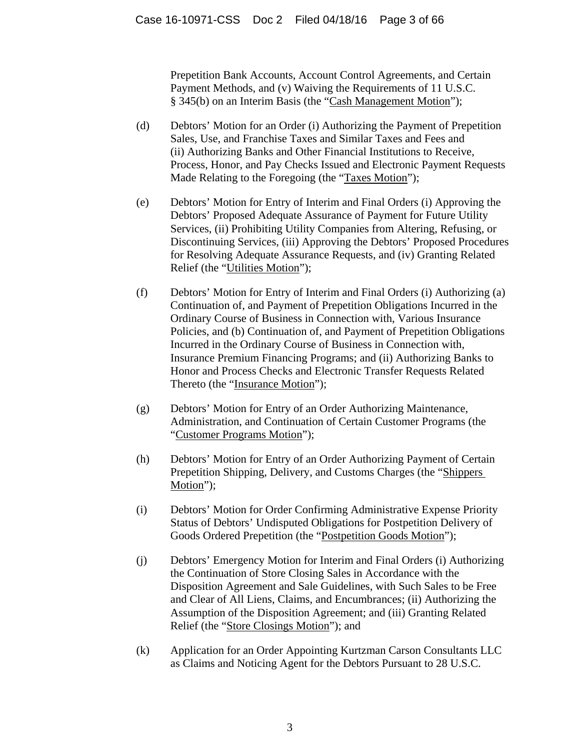Prepetition Bank Accounts, Account Control Agreements, and Certain Payment Methods, and (v) Waiving the Requirements of 11 U.S.C. § 345(b) on an Interim Basis (the "Cash Management Motion");

- (d) Debtors' Motion for an Order (i) Authorizing the Payment of Prepetition Sales, Use, and Franchise Taxes and Similar Taxes and Fees and (ii) Authorizing Banks and Other Financial Institutions to Receive, Process, Honor, and Pay Checks Issued and Electronic Payment Requests Made Relating to the Foregoing (the "Taxes Motion");
- (e) Debtors' Motion for Entry of Interim and Final Orders (i) Approving the Debtors' Proposed Adequate Assurance of Payment for Future Utility Services, (ii) Prohibiting Utility Companies from Altering, Refusing, or Discontinuing Services, (iii) Approving the Debtors' Proposed Procedures for Resolving Adequate Assurance Requests, and (iv) Granting Related Relief (the "Utilities Motion");
- (f) Debtors' Motion for Entry of Interim and Final Orders (i) Authorizing (a) Continuation of, and Payment of Prepetition Obligations Incurred in the Ordinary Course of Business in Connection with, Various Insurance Policies, and (b) Continuation of, and Payment of Prepetition Obligations Incurred in the Ordinary Course of Business in Connection with, Insurance Premium Financing Programs; and (ii) Authorizing Banks to Honor and Process Checks and Electronic Transfer Requests Related Thereto (the "Insurance Motion");
- (g) Debtors' Motion for Entry of an Order Authorizing Maintenance, Administration, and Continuation of Certain Customer Programs (the "Customer Programs Motion");
- (h) Debtors' Motion for Entry of an Order Authorizing Payment of Certain Prepetition Shipping, Delivery, and Customs Charges (the "Shippers Motion");
- (i) Debtors' Motion for Order Confirming Administrative Expense Priority Status of Debtors' Undisputed Obligations for Postpetition Delivery of Goods Ordered Prepetition (the "Postpetition Goods Motion");
- (j) Debtors' Emergency Motion for Interim and Final Orders (i) Authorizing the Continuation of Store Closing Sales in Accordance with the Disposition Agreement and Sale Guidelines, with Such Sales to be Free and Clear of All Liens, Claims, and Encumbrances; (ii) Authorizing the Assumption of the Disposition Agreement; and (iii) Granting Related Relief (the "Store Closings Motion"); and
- (k) Application for an Order Appointing Kurtzman Carson Consultants LLC as Claims and Noticing Agent for the Debtors Pursuant to 28 U.S.C.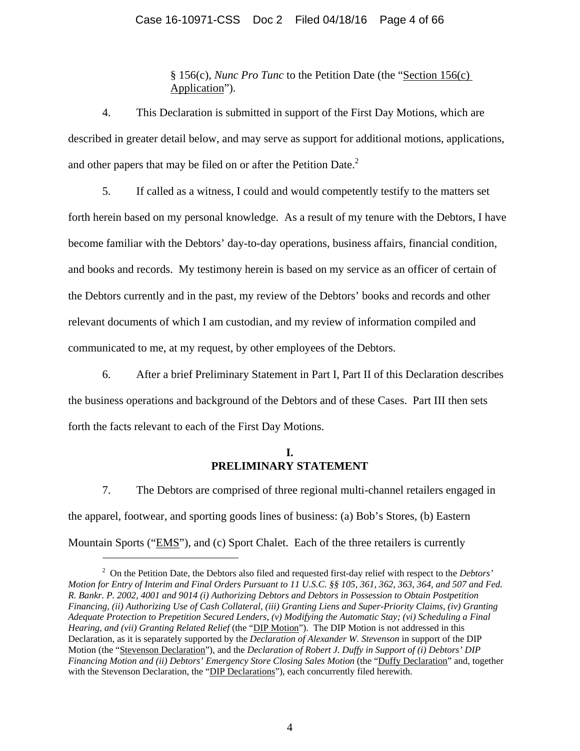# Case 16-10971-CSS Doc 2 Filed 04/18/16 Page 4 of 66

§ 156(c), *Nunc Pro Tunc* to the Petition Date (the "Section 156(c) Application").

4. This Declaration is submitted in support of the First Day Motions, which are described in greater detail below, and may serve as support for additional motions, applications, and other papers that may be filed on or after the Petition Date.<sup>2</sup>

5. If called as a witness, I could and would competently testify to the matters set forth herein based on my personal knowledge. As a result of my tenure with the Debtors, I have become familiar with the Debtors' day-to-day operations, business affairs, financial condition, and books and records. My testimony herein is based on my service as an officer of certain of the Debtors currently and in the past, my review of the Debtors' books and records and other relevant documents of which I am custodian, and my review of information compiled and communicated to me, at my request, by other employees of the Debtors.

6. After a brief Preliminary Statement in Part I, Part II of this Declaration describes the business operations and background of the Debtors and of these Cases. Part III then sets forth the facts relevant to each of the First Day Motions.

# **I. PRELIMINARY STATEMENT**

7. The Debtors are comprised of three regional multi-channel retailers engaged in the apparel, footwear, and sporting goods lines of business: (a) Bob's Stores, (b) Eastern Mountain Sports ("EMS"), and (c) Sport Chalet. Each of the three retailers is currently

 $\overline{a}$ 

<sup>2</sup> On the Petition Date, the Debtors also filed and requested first-day relief with respect to the *Debtors' Motion for Entry of Interim and Final Orders Pursuant to 11 U.S.C. §§ 105, 361, 362, 363, 364, and 507 and Fed. R. Bankr. P. 2002, 4001 and 9014 (i) Authorizing Debtors and Debtors in Possession to Obtain Postpetition Financing, (ii) Authorizing Use of Cash Collateral, (iii) Granting Liens and Super-Priority Claims, (iv) Granting Adequate Protection to Prepetition Secured Lenders, (v) Modifying the Automatic Stay; (vi) Scheduling a Final Hearing, and (vii) Granting Related Relief* (the "DIP Motion"). The DIP Motion is not addressed in this Declaration, as it is separately supported by the *Declaration of Alexander W. Stevenson* in support of the DIP Motion (the "Stevenson Declaration"), and the *Declaration of Robert J. Duffy in Support of (i) Debtors' DIP Financing Motion and (ii) Debtors' Emergency Store Closing Sales Motion (the "Duffy Declaration" and, together* with the Stevenson Declaration, the "DIP Declarations"), each concurrently filed herewith.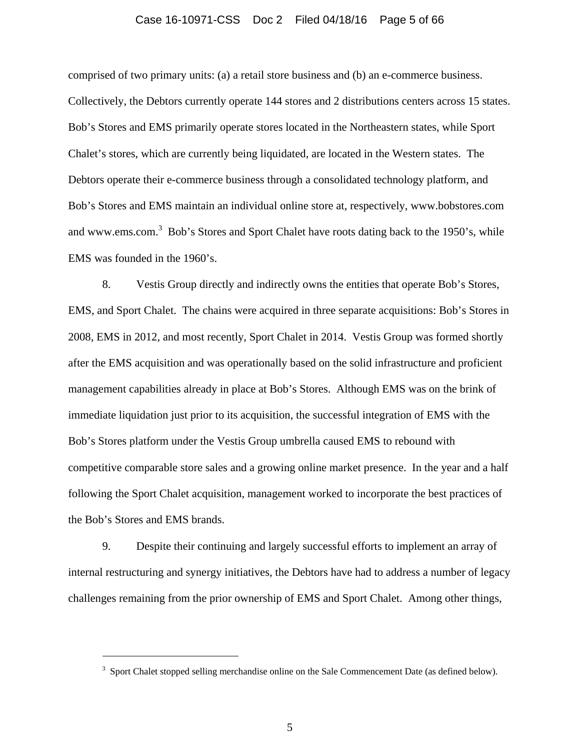### Case 16-10971-CSS Doc 2 Filed 04/18/16 Page 5 of 66

comprised of two primary units: (a) a retail store business and (b) an e-commerce business. Collectively, the Debtors currently operate 144 stores and 2 distributions centers across 15 states. Bob's Stores and EMS primarily operate stores located in the Northeastern states, while Sport Chalet's stores, which are currently being liquidated, are located in the Western states. The Debtors operate their e-commerce business through a consolidated technology platform, and Bob's Stores and EMS maintain an individual online store at, respectively, www.bobstores.com and www.ems.com.<sup>3</sup> Bob's Stores and Sport Chalet have roots dating back to the 1950's, while EMS was founded in the 1960's.

8. Vestis Group directly and indirectly owns the entities that operate Bob's Stores, EMS, and Sport Chalet. The chains were acquired in three separate acquisitions: Bob's Stores in 2008, EMS in 2012, and most recently, Sport Chalet in 2014. Vestis Group was formed shortly after the EMS acquisition and was operationally based on the solid infrastructure and proficient management capabilities already in place at Bob's Stores. Although EMS was on the brink of immediate liquidation just prior to its acquisition, the successful integration of EMS with the Bob's Stores platform under the Vestis Group umbrella caused EMS to rebound with competitive comparable store sales and a growing online market presence. In the year and a half following the Sport Chalet acquisition, management worked to incorporate the best practices of the Bob's Stores and EMS brands.

9. Despite their continuing and largely successful efforts to implement an array of internal restructuring and synergy initiatives, the Debtors have had to address a number of legacy challenges remaining from the prior ownership of EMS and Sport Chalet. Among other things,

 $\overline{a}$ 

 $3$  Sport Chalet stopped selling merchandise online on the Sale Commencement Date (as defined below).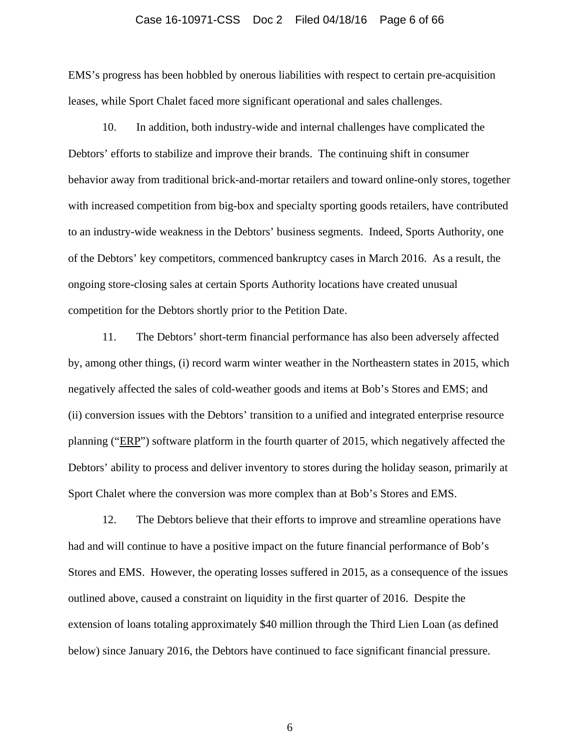#### Case 16-10971-CSS Doc 2 Filed 04/18/16 Page 6 of 66

EMS's progress has been hobbled by onerous liabilities with respect to certain pre-acquisition leases, while Sport Chalet faced more significant operational and sales challenges.

10. In addition, both industry-wide and internal challenges have complicated the Debtors' efforts to stabilize and improve their brands. The continuing shift in consumer behavior away from traditional brick-and-mortar retailers and toward online-only stores, together with increased competition from big-box and specialty sporting goods retailers, have contributed to an industry-wide weakness in the Debtors' business segments. Indeed, Sports Authority, one of the Debtors' key competitors, commenced bankruptcy cases in March 2016. As a result, the ongoing store-closing sales at certain Sports Authority locations have created unusual competition for the Debtors shortly prior to the Petition Date.

11. The Debtors' short-term financial performance has also been adversely affected by, among other things, (i) record warm winter weather in the Northeastern states in 2015, which negatively affected the sales of cold-weather goods and items at Bob's Stores and EMS; and (ii) conversion issues with the Debtors' transition to a unified and integrated enterprise resource planning ("ERP") software platform in the fourth quarter of 2015, which negatively affected the Debtors' ability to process and deliver inventory to stores during the holiday season, primarily at Sport Chalet where the conversion was more complex than at Bob's Stores and EMS.

12. The Debtors believe that their efforts to improve and streamline operations have had and will continue to have a positive impact on the future financial performance of Bob's Stores and EMS. However, the operating losses suffered in 2015, as a consequence of the issues outlined above, caused a constraint on liquidity in the first quarter of 2016. Despite the extension of loans totaling approximately \$40 million through the Third Lien Loan (as defined below) since January 2016, the Debtors have continued to face significant financial pressure.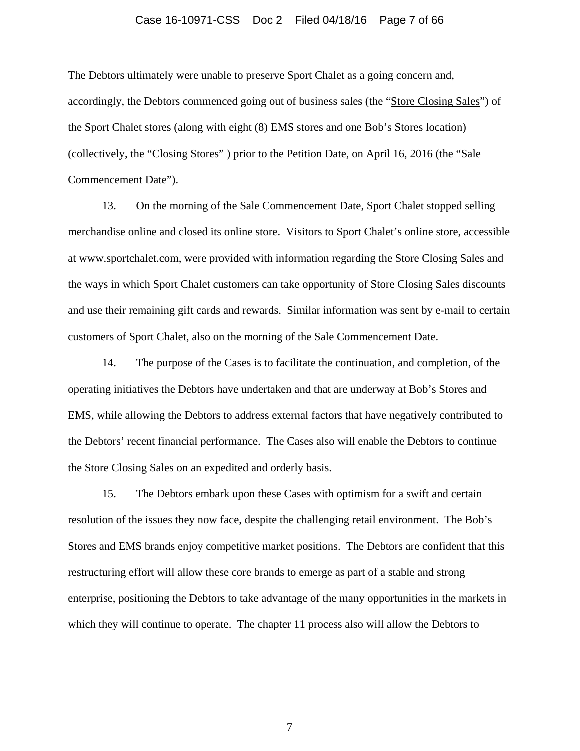#### Case 16-10971-CSS Doc 2 Filed 04/18/16 Page 7 of 66

The Debtors ultimately were unable to preserve Sport Chalet as a going concern and, accordingly, the Debtors commenced going out of business sales (the "Store Closing Sales") of the Sport Chalet stores (along with eight (8) EMS stores and one Bob's Stores location) (collectively, the "Closing Stores" ) prior to the Petition Date, on April 16, 2016 (the "Sale Commencement Date").

13. On the morning of the Sale Commencement Date, Sport Chalet stopped selling merchandise online and closed its online store. Visitors to Sport Chalet's online store, accessible at www.sportchalet.com, were provided with information regarding the Store Closing Sales and the ways in which Sport Chalet customers can take opportunity of Store Closing Sales discounts and use their remaining gift cards and rewards. Similar information was sent by e-mail to certain customers of Sport Chalet, also on the morning of the Sale Commencement Date.

14. The purpose of the Cases is to facilitate the continuation, and completion, of the operating initiatives the Debtors have undertaken and that are underway at Bob's Stores and EMS, while allowing the Debtors to address external factors that have negatively contributed to the Debtors' recent financial performance. The Cases also will enable the Debtors to continue the Store Closing Sales on an expedited and orderly basis.

15. The Debtors embark upon these Cases with optimism for a swift and certain resolution of the issues they now face, despite the challenging retail environment. The Bob's Stores and EMS brands enjoy competitive market positions. The Debtors are confident that this restructuring effort will allow these core brands to emerge as part of a stable and strong enterprise, positioning the Debtors to take advantage of the many opportunities in the markets in which they will continue to operate. The chapter 11 process also will allow the Debtors to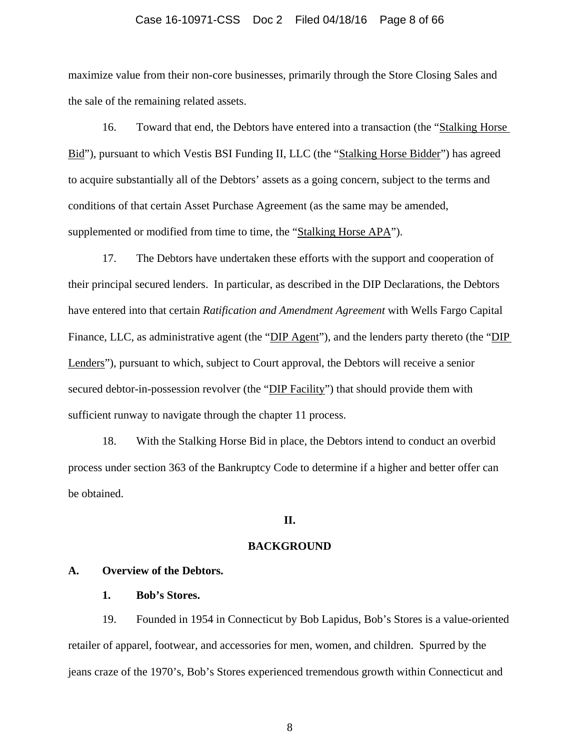#### Case 16-10971-CSS Doc 2 Filed 04/18/16 Page 8 of 66

maximize value from their non-core businesses, primarily through the Store Closing Sales and the sale of the remaining related assets.

16. Toward that end, the Debtors have entered into a transaction (the "Stalking Horse Bid"), pursuant to which Vestis BSI Funding II, LLC (the "Stalking Horse Bidder") has agreed to acquire substantially all of the Debtors' assets as a going concern, subject to the terms and conditions of that certain Asset Purchase Agreement (as the same may be amended, supplemented or modified from time to time, the "Stalking Horse APA").

17. The Debtors have undertaken these efforts with the support and cooperation of their principal secured lenders. In particular, as described in the DIP Declarations, the Debtors have entered into that certain *Ratification and Amendment Agreement* with Wells Fargo Capital Finance, LLC, as administrative agent (the "DIP Agent"), and the lenders party thereto (the "DIP Lenders"), pursuant to which, subject to Court approval, the Debtors will receive a senior secured debtor-in-possession revolver (the "DIP Facility") that should provide them with sufficient runway to navigate through the chapter 11 process.

18. With the Stalking Horse Bid in place, the Debtors intend to conduct an overbid process under section 363 of the Bankruptcy Code to determine if a higher and better offer can be obtained.

# **II.**

#### **BACKGROUND**

# **A. Overview of the Debtors.**

### **1. Bob's Stores.**

19. Founded in 1954 in Connecticut by Bob Lapidus, Bob's Stores is a value-oriented retailer of apparel, footwear, and accessories for men, women, and children. Spurred by the jeans craze of the 1970's, Bob's Stores experienced tremendous growth within Connecticut and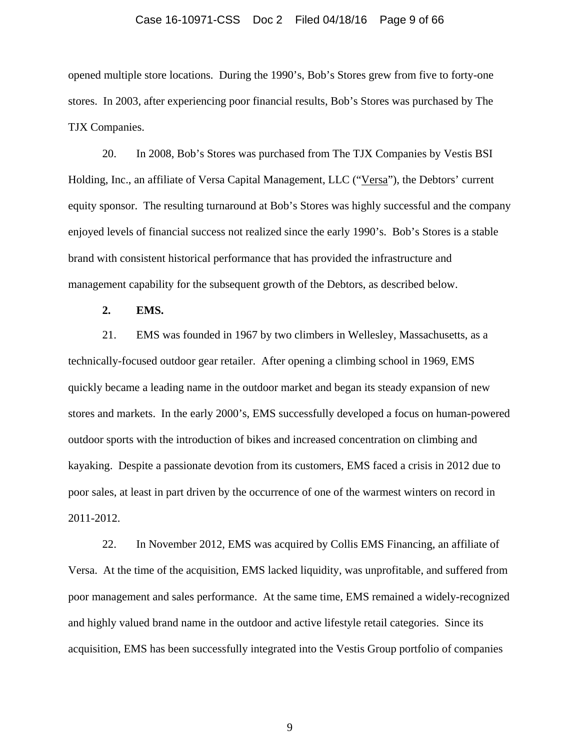#### Case 16-10971-CSS Doc 2 Filed 04/18/16 Page 9 of 66

opened multiple store locations. During the 1990's, Bob's Stores grew from five to forty-one stores. In 2003, after experiencing poor financial results, Bob's Stores was purchased by The TJX Companies.

20. In 2008, Bob's Stores was purchased from The TJX Companies by Vestis BSI Holding, Inc., an affiliate of Versa Capital Management, LLC ("Versa"), the Debtors' current equity sponsor. The resulting turnaround at Bob's Stores was highly successful and the company enjoyed levels of financial success not realized since the early 1990's. Bob's Stores is a stable brand with consistent historical performance that has provided the infrastructure and management capability for the subsequent growth of the Debtors, as described below.

**2. EMS.** 

21. EMS was founded in 1967 by two climbers in Wellesley, Massachusetts, as a technically-focused outdoor gear retailer. After opening a climbing school in 1969, EMS quickly became a leading name in the outdoor market and began its steady expansion of new stores and markets. In the early 2000's, EMS successfully developed a focus on human-powered outdoor sports with the introduction of bikes and increased concentration on climbing and kayaking. Despite a passionate devotion from its customers, EMS faced a crisis in 2012 due to poor sales, at least in part driven by the occurrence of one of the warmest winters on record in 2011-2012.

22. In November 2012, EMS was acquired by Collis EMS Financing, an affiliate of Versa. At the time of the acquisition, EMS lacked liquidity, was unprofitable, and suffered from poor management and sales performance. At the same time, EMS remained a widely-recognized and highly valued brand name in the outdoor and active lifestyle retail categories. Since its acquisition, EMS has been successfully integrated into the Vestis Group portfolio of companies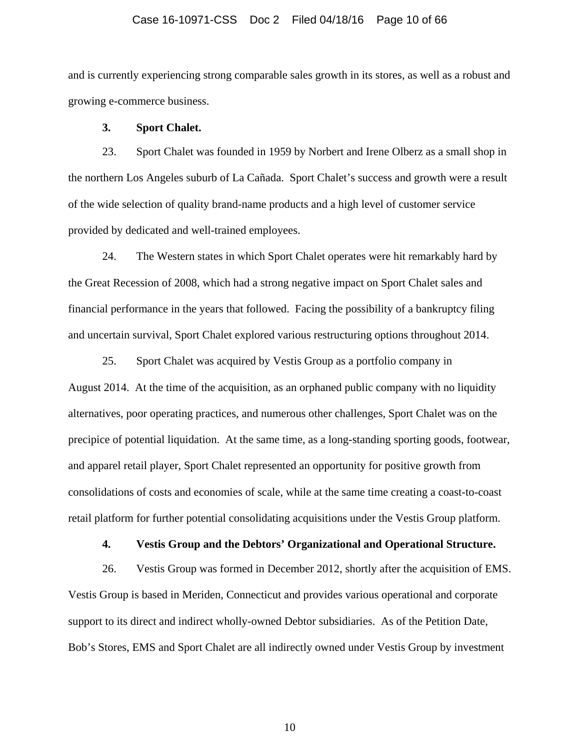#### Case 16-10971-CSS Doc 2 Filed 04/18/16 Page 10 of 66

and is currently experiencing strong comparable sales growth in its stores, as well as a robust and growing e-commerce business.

# **3. Sport Chalet.**

23. Sport Chalet was founded in 1959 by Norbert and Irene Olberz as a small shop in the northern Los Angeles suburb of La Cañada. Sport Chalet's success and growth were a result of the wide selection of quality brand-name products and a high level of customer service provided by dedicated and well-trained employees.

24. The Western states in which Sport Chalet operates were hit remarkably hard by the Great Recession of 2008, which had a strong negative impact on Sport Chalet sales and financial performance in the years that followed. Facing the possibility of a bankruptcy filing and uncertain survival, Sport Chalet explored various restructuring options throughout 2014.

25. Sport Chalet was acquired by Vestis Group as a portfolio company in August 2014. At the time of the acquisition, as an orphaned public company with no liquidity alternatives, poor operating practices, and numerous other challenges, Sport Chalet was on the precipice of potential liquidation. At the same time, as a long-standing sporting goods, footwear, and apparel retail player, Sport Chalet represented an opportunity for positive growth from consolidations of costs and economies of scale, while at the same time creating a coast-to-coast retail platform for further potential consolidating acquisitions under the Vestis Group platform.

# **4. Vestis Group and the Debtors' Organizational and Operational Structure.**

26. Vestis Group was formed in December 2012, shortly after the acquisition of EMS. Vestis Group is based in Meriden, Connecticut and provides various operational and corporate support to its direct and indirect wholly-owned Debtor subsidiaries. As of the Petition Date, Bob's Stores, EMS and Sport Chalet are all indirectly owned under Vestis Group by investment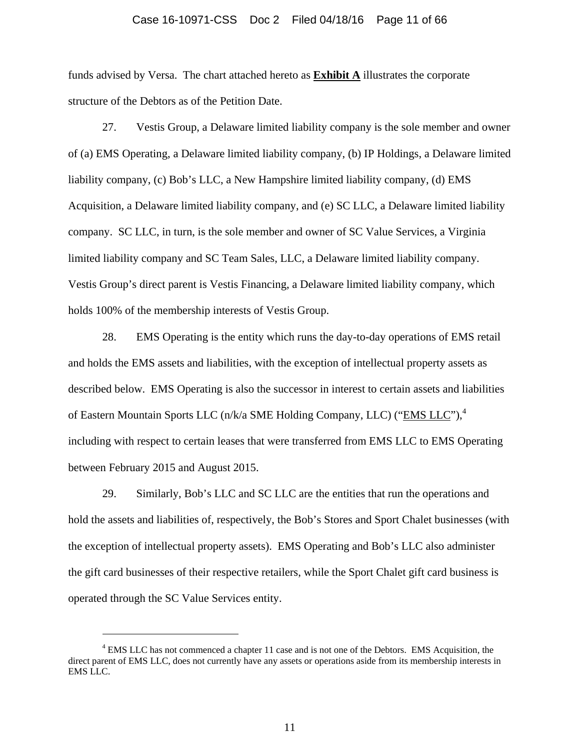### Case 16-10971-CSS Doc 2 Filed 04/18/16 Page 11 of 66

funds advised by Versa. The chart attached hereto as **Exhibit A** illustrates the corporate structure of the Debtors as of the Petition Date.

27. Vestis Group, a Delaware limited liability company is the sole member and owner of (a) EMS Operating, a Delaware limited liability company, (b) IP Holdings, a Delaware limited liability company, (c) Bob's LLC, a New Hampshire limited liability company, (d) EMS Acquisition, a Delaware limited liability company, and (e) SC LLC, a Delaware limited liability company. SC LLC, in turn, is the sole member and owner of SC Value Services, a Virginia limited liability company and SC Team Sales, LLC, a Delaware limited liability company. Vestis Group's direct parent is Vestis Financing, a Delaware limited liability company, which holds 100% of the membership interests of Vestis Group.

28. EMS Operating is the entity which runs the day-to-day operations of EMS retail and holds the EMS assets and liabilities, with the exception of intellectual property assets as described below. EMS Operating is also the successor in interest to certain assets and liabilities of Eastern Mountain Sports LLC (n/k/a SME Holding Company, LLC) ("EMS LLC"),<sup>4</sup> including with respect to certain leases that were transferred from EMS LLC to EMS Operating between February 2015 and August 2015.

29. Similarly, Bob's LLC and SC LLC are the entities that run the operations and hold the assets and liabilities of, respectively, the Bob's Stores and Sport Chalet businesses (with the exception of intellectual property assets). EMS Operating and Bob's LLC also administer the gift card businesses of their respective retailers, while the Sport Chalet gift card business is operated through the SC Value Services entity.

l

<sup>&</sup>lt;sup>4</sup> EMS LLC has not commenced a chapter 11 case and is not one of the Debtors. EMS Acquisition, the direct parent of EMS LLC, does not currently have any assets or operations aside from its membership interests in EMS LLC.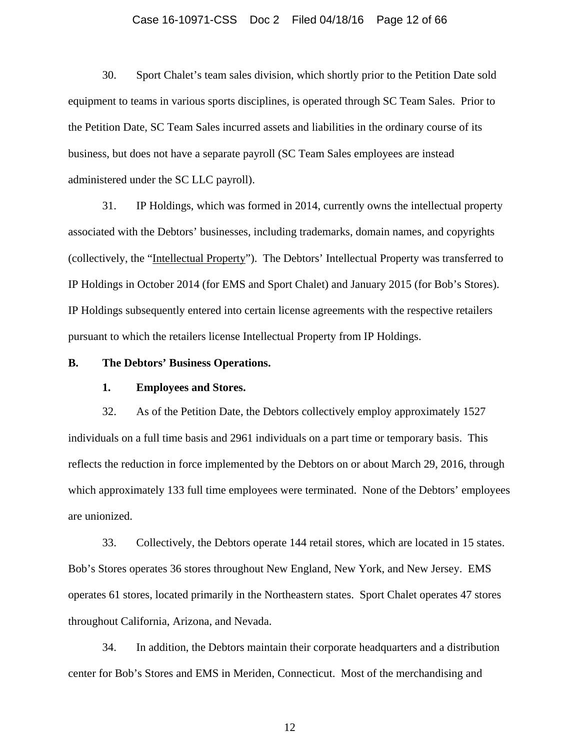#### Case 16-10971-CSS Doc 2 Filed 04/18/16 Page 12 of 66

30. Sport Chalet's team sales division, which shortly prior to the Petition Date sold equipment to teams in various sports disciplines, is operated through SC Team Sales. Prior to the Petition Date, SC Team Sales incurred assets and liabilities in the ordinary course of its business, but does not have a separate payroll (SC Team Sales employees are instead administered under the SC LLC payroll).

31. IP Holdings, which was formed in 2014, currently owns the intellectual property associated with the Debtors' businesses, including trademarks, domain names, and copyrights (collectively, the "Intellectual Property"). The Debtors' Intellectual Property was transferred to IP Holdings in October 2014 (for EMS and Sport Chalet) and January 2015 (for Bob's Stores). IP Holdings subsequently entered into certain license agreements with the respective retailers pursuant to which the retailers license Intellectual Property from IP Holdings.

## **B. The Debtors' Business Operations.**

# **1. Employees and Stores.**

32. As of the Petition Date, the Debtors collectively employ approximately 1527 individuals on a full time basis and 2961 individuals on a part time or temporary basis. This reflects the reduction in force implemented by the Debtors on or about March 29, 2016, through which approximately 133 full time employees were terminated. None of the Debtors' employees are unionized.

33. Collectively, the Debtors operate 144 retail stores, which are located in 15 states. Bob's Stores operates 36 stores throughout New England, New York, and New Jersey. EMS operates 61 stores, located primarily in the Northeastern states. Sport Chalet operates 47 stores throughout California, Arizona, and Nevada.

34. In addition, the Debtors maintain their corporate headquarters and a distribution center for Bob's Stores and EMS in Meriden, Connecticut. Most of the merchandising and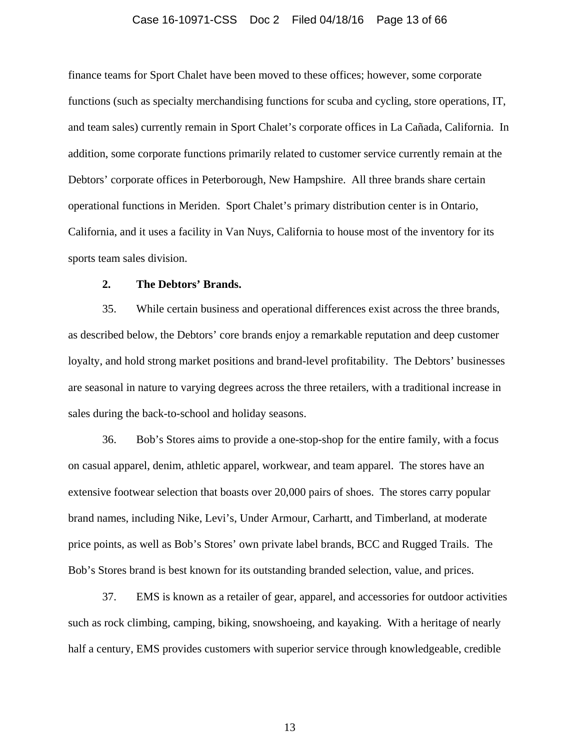#### Case 16-10971-CSS Doc 2 Filed 04/18/16 Page 13 of 66

finance teams for Sport Chalet have been moved to these offices; however, some corporate functions (such as specialty merchandising functions for scuba and cycling, store operations, IT, and team sales) currently remain in Sport Chalet's corporate offices in La Cañada, California. In addition, some corporate functions primarily related to customer service currently remain at the Debtors' corporate offices in Peterborough, New Hampshire. All three brands share certain operational functions in Meriden. Sport Chalet's primary distribution center is in Ontario, California, and it uses a facility in Van Nuys, California to house most of the inventory for its sports team sales division.

# **2. The Debtors' Brands.**

35. While certain business and operational differences exist across the three brands, as described below, the Debtors' core brands enjoy a remarkable reputation and deep customer loyalty, and hold strong market positions and brand-level profitability. The Debtors' businesses are seasonal in nature to varying degrees across the three retailers, with a traditional increase in sales during the back-to-school and holiday seasons.

36. Bob's Stores aims to provide a one-stop-shop for the entire family, with a focus on casual apparel, denim, athletic apparel, workwear, and team apparel. The stores have an extensive footwear selection that boasts over 20,000 pairs of shoes. The stores carry popular brand names, including Nike, Levi's, Under Armour, Carhartt, and Timberland, at moderate price points, as well as Bob's Stores' own private label brands, BCC and Rugged Trails. The Bob's Stores brand is best known for its outstanding branded selection, value, and prices.

37. EMS is known as a retailer of gear, apparel, and accessories for outdoor activities such as rock climbing, camping, biking, snowshoeing, and kayaking. With a heritage of nearly half a century, EMS provides customers with superior service through knowledgeable, credible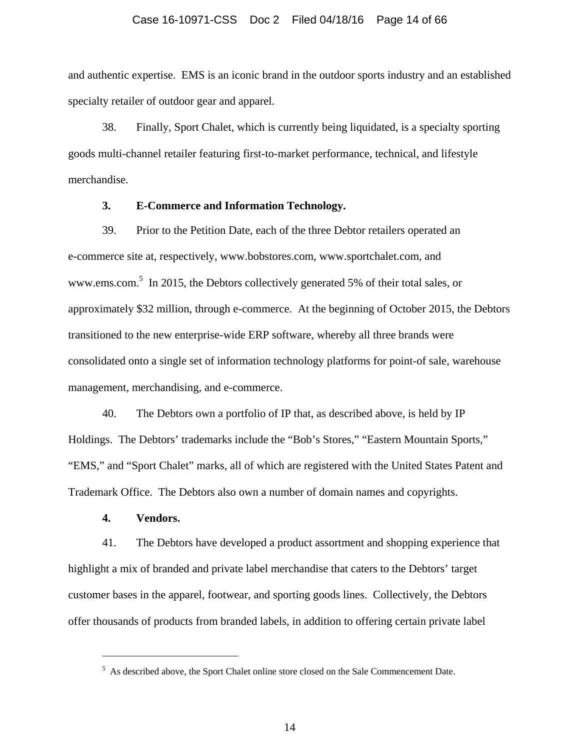### Case 16-10971-CSS Doc 2 Filed 04/18/16 Page 14 of 66

and authentic expertise. EMS is an iconic brand in the outdoor sports industry and an established specialty retailer of outdoor gear and apparel.

38. Finally, Sport Chalet, which is currently being liquidated, is a specialty sporting goods multi-channel retailer featuring first-to-market performance, technical, and lifestyle merchandise.

# **3. E-Commerce and Information Technology.**

39. Prior to the Petition Date, each of the three Debtor retailers operated an e-commerce site at, respectively, www.bobstores.com, www.sportchalet.com, and www.ems.com.<sup>5</sup> In 2015, the Debtors collectively generated 5% of their total sales, or approximately \$32 million, through e-commerce. At the beginning of October 2015, the Debtors transitioned to the new enterprise-wide ERP software, whereby all three brands were consolidated onto a single set of information technology platforms for point-of sale, warehouse management, merchandising, and e-commerce.

40. The Debtors own a portfolio of IP that, as described above, is held by IP Holdings. The Debtors' trademarks include the "Bob's Stores," "Eastern Mountain Sports," "EMS," and "Sport Chalet" marks, all of which are registered with the United States Patent and Trademark Office. The Debtors also own a number of domain names and copyrights.

# **4. Vendors.**

 $\overline{a}$ 

41. The Debtors have developed a product assortment and shopping experience that highlight a mix of branded and private label merchandise that caters to the Debtors' target customer bases in the apparel, footwear, and sporting goods lines. Collectively, the Debtors offer thousands of products from branded labels, in addition to offering certain private label

<sup>&</sup>lt;sup>5</sup> As described above, the Sport Chalet online store closed on the Sale Commencement Date.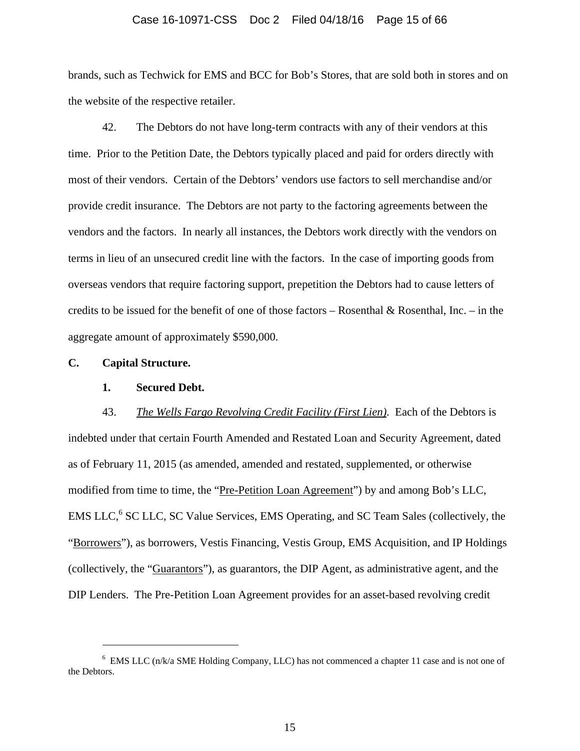### Case 16-10971-CSS Doc 2 Filed 04/18/16 Page 15 of 66

brands, such as Techwick for EMS and BCC for Bob's Stores, that are sold both in stores and on the website of the respective retailer.

42. The Debtors do not have long-term contracts with any of their vendors at this time. Prior to the Petition Date, the Debtors typically placed and paid for orders directly with most of their vendors. Certain of the Debtors' vendors use factors to sell merchandise and/or provide credit insurance. The Debtors are not party to the factoring agreements between the vendors and the factors. In nearly all instances, the Debtors work directly with the vendors on terms in lieu of an unsecured credit line with the factors. In the case of importing goods from overseas vendors that require factoring support, prepetition the Debtors had to cause letters of credits to be issued for the benefit of one of those factors – Rosenthal & Rosenthal, Inc. – in the aggregate amount of approximately \$590,000.

# **C. Capital Structure.**

 $\overline{a}$ 

## **1. Secured Debt.**

43. *The Wells Fargo Revolving Credit Facility (First Lien)*. Each of the Debtors is indebted under that certain Fourth Amended and Restated Loan and Security Agreement, dated as of February 11, 2015 (as amended, amended and restated, supplemented, or otherwise modified from time to time, the "Pre-Petition Loan Agreement") by and among Bob's LLC, EMS LLC,<sup>6</sup> SC LLC, SC Value Services, EMS Operating, and SC Team Sales (collectively, the "Borrowers"), as borrowers, Vestis Financing, Vestis Group, EMS Acquisition, and IP Holdings (collectively, the "Guarantors"), as guarantors, the DIP Agent, as administrative agent, and the DIP Lenders. The Pre-Petition Loan Agreement provides for an asset-based revolving credit

<sup>&</sup>lt;sup>6</sup> EMS LLC (n/k/a SME Holding Company, LLC) has not commenced a chapter 11 case and is not one of the Debtors.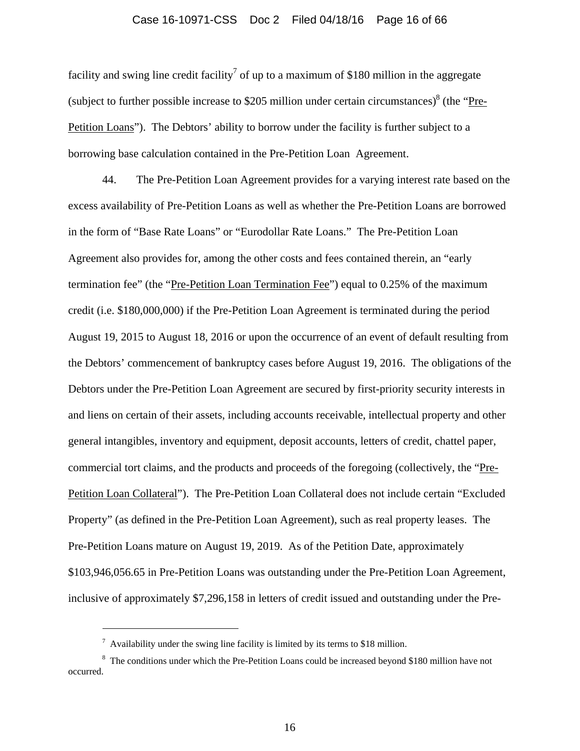### Case 16-10971-CSS Doc 2 Filed 04/18/16 Page 16 of 66

facility and swing line credit facility<sup>7</sup> of up to a maximum of \$180 million in the aggregate (subject to further possible increase to \$205 million under certain circumstances)<sup>8</sup> (the "Pre-Petition Loans"). The Debtors' ability to borrow under the facility is further subject to a borrowing base calculation contained in the Pre-Petition Loan Agreement.

44. The Pre-Petition Loan Agreement provides for a varying interest rate based on the excess availability of Pre-Petition Loans as well as whether the Pre-Petition Loans are borrowed in the form of "Base Rate Loans" or "Eurodollar Rate Loans." The Pre-Petition Loan Agreement also provides for, among the other costs and fees contained therein, an "early termination fee" (the "Pre-Petition Loan Termination Fee") equal to 0.25% of the maximum credit (i.e. \$180,000,000) if the Pre-Petition Loan Agreement is terminated during the period August 19, 2015 to August 18, 2016 or upon the occurrence of an event of default resulting from the Debtors' commencement of bankruptcy cases before August 19, 2016. The obligations of the Debtors under the Pre-Petition Loan Agreement are secured by first-priority security interests in and liens on certain of their assets, including accounts receivable, intellectual property and other general intangibles, inventory and equipment, deposit accounts, letters of credit, chattel paper, commercial tort claims, and the products and proceeds of the foregoing (collectively, the "Pre-Petition Loan Collateral"). The Pre-Petition Loan Collateral does not include certain "Excluded Property" (as defined in the Pre-Petition Loan Agreement), such as real property leases. The Pre-Petition Loans mature on August 19, 2019. As of the Petition Date, approximately \$103,946,056.65 in Pre-Petition Loans was outstanding under the Pre-Petition Loan Agreement, inclusive of approximately \$7,296,158 in letters of credit issued and outstanding under the Pre-

l

 $^7$  Availability under the swing line facility is limited by its terms to \$18 million.

<sup>&</sup>lt;sup>8</sup> The conditions under which the Pre-Petition Loans could be increased beyond \$180 million have not occurred.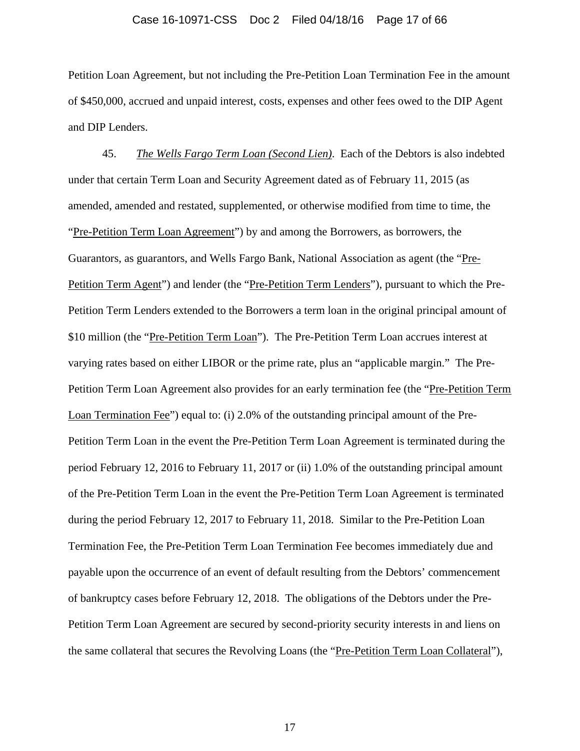### Case 16-10971-CSS Doc 2 Filed 04/18/16 Page 17 of 66

Petition Loan Agreement, but not including the Pre-Petition Loan Termination Fee in the amount of \$450,000, accrued and unpaid interest, costs, expenses and other fees owed to the DIP Agent and DIP Lenders.

45. *The Wells Fargo Term Loan (Second Lien)*. Each of the Debtors is also indebted under that certain Term Loan and Security Agreement dated as of February 11, 2015 (as amended, amended and restated, supplemented, or otherwise modified from time to time, the "Pre-Petition Term Loan Agreement") by and among the Borrowers, as borrowers, the Guarantors, as guarantors, and Wells Fargo Bank, National Association as agent (the "Pre-Petition Term Agent") and lender (the "Pre-Petition Term Lenders"), pursuant to which the Pre-Petition Term Lenders extended to the Borrowers a term loan in the original principal amount of \$10 million (the "Pre-Petition Term Loan"). The Pre-Petition Term Loan accrues interest at varying rates based on either LIBOR or the prime rate, plus an "applicable margin." The Pre-Petition Term Loan Agreement also provides for an early termination fee (the "Pre-Petition Term Loan Termination Fee") equal to: (i) 2.0% of the outstanding principal amount of the Pre-Petition Term Loan in the event the Pre-Petition Term Loan Agreement is terminated during the period February 12, 2016 to February 11, 2017 or (ii) 1.0% of the outstanding principal amount of the Pre-Petition Term Loan in the event the Pre-Petition Term Loan Agreement is terminated during the period February 12, 2017 to February 11, 2018. Similar to the Pre-Petition Loan Termination Fee, the Pre-Petition Term Loan Termination Fee becomes immediately due and payable upon the occurrence of an event of default resulting from the Debtors' commencement of bankruptcy cases before February 12, 2018. The obligations of the Debtors under the Pre-Petition Term Loan Agreement are secured by second-priority security interests in and liens on the same collateral that secures the Revolving Loans (the "Pre-Petition Term Loan Collateral"),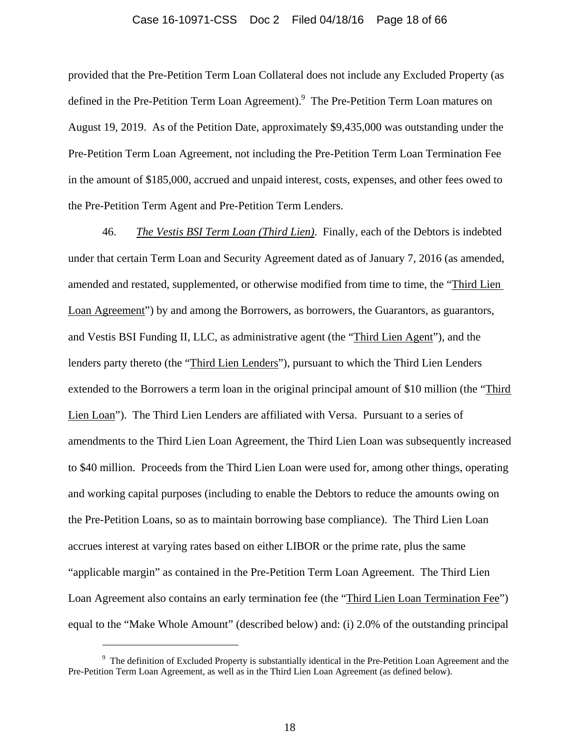### Case 16-10971-CSS Doc 2 Filed 04/18/16 Page 18 of 66

provided that the Pre-Petition Term Loan Collateral does not include any Excluded Property (as defined in the Pre-Petition Term Loan Agreement). <sup>9</sup> The Pre-Petition Term Loan matures on August 19, 2019. As of the Petition Date, approximately \$9,435,000 was outstanding under the Pre-Petition Term Loan Agreement, not including the Pre-Petition Term Loan Termination Fee in the amount of \$185,000, accrued and unpaid interest, costs, expenses, and other fees owed to the Pre-Petition Term Agent and Pre-Petition Term Lenders.

46. *The Vestis BSI Term Loan (Third Lien)*. Finally, each of the Debtors is indebted under that certain Term Loan and Security Agreement dated as of January 7, 2016 (as amended, amended and restated, supplemented, or otherwise modified from time to time, the "Third Lien Loan Agreement") by and among the Borrowers, as borrowers, the Guarantors, as guarantors, and Vestis BSI Funding II, LLC, as administrative agent (the "Third Lien Agent"), and the lenders party thereto (the "Third Lien Lenders"), pursuant to which the Third Lien Lenders extended to the Borrowers a term loan in the original principal amount of \$10 million (the "Third Lien Loan"). The Third Lien Lenders are affiliated with Versa. Pursuant to a series of amendments to the Third Lien Loan Agreement, the Third Lien Loan was subsequently increased to \$40 million. Proceeds from the Third Lien Loan were used for, among other things, operating and working capital purposes (including to enable the Debtors to reduce the amounts owing on the Pre-Petition Loans, so as to maintain borrowing base compliance). The Third Lien Loan accrues interest at varying rates based on either LIBOR or the prime rate, plus the same "applicable margin" as contained in the Pre-Petition Term Loan Agreement. The Third Lien Loan Agreement also contains an early termination fee (the "Third Lien Loan Termination Fee") equal to the "Make Whole Amount" (described below) and: (i) 2.0% of the outstanding principal

 $\overline{a}$ 

<sup>&</sup>lt;sup>9</sup> The definition of Excluded Property is substantially identical in the Pre-Petition Loan Agreement and the Pre-Petition Term Loan Agreement, as well as in the Third Lien Loan Agreement (as defined below).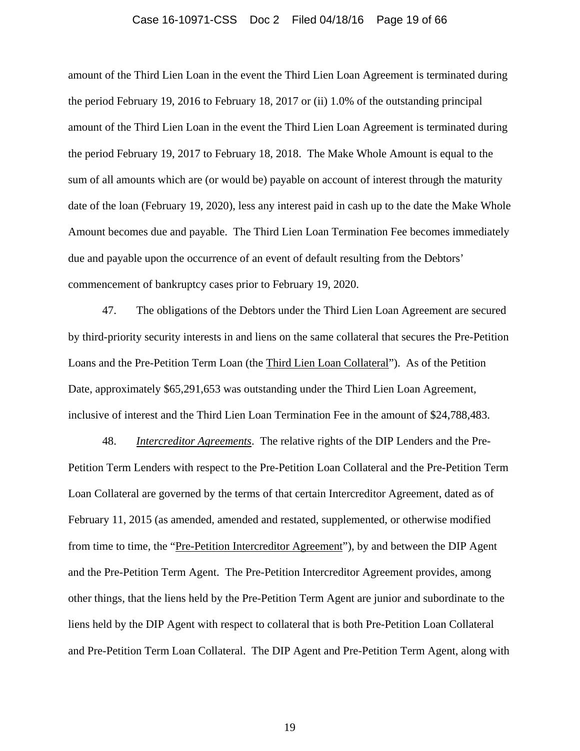#### Case 16-10971-CSS Doc 2 Filed 04/18/16 Page 19 of 66

amount of the Third Lien Loan in the event the Third Lien Loan Agreement is terminated during the period February 19, 2016 to February 18, 2017 or (ii) 1.0% of the outstanding principal amount of the Third Lien Loan in the event the Third Lien Loan Agreement is terminated during the period February 19, 2017 to February 18, 2018. The Make Whole Amount is equal to the sum of all amounts which are (or would be) payable on account of interest through the maturity date of the loan (February 19, 2020), less any interest paid in cash up to the date the Make Whole Amount becomes due and payable. The Third Lien Loan Termination Fee becomes immediately due and payable upon the occurrence of an event of default resulting from the Debtors' commencement of bankruptcy cases prior to February 19, 2020.

47. The obligations of the Debtors under the Third Lien Loan Agreement are secured by third-priority security interests in and liens on the same collateral that secures the Pre-Petition Loans and the Pre-Petition Term Loan (the Third Lien Loan Collateral"). As of the Petition Date, approximately \$65,291,653 was outstanding under the Third Lien Loan Agreement, inclusive of interest and the Third Lien Loan Termination Fee in the amount of \$24,788,483.

48. *Intercreditor Agreements*. The relative rights of the DIP Lenders and the Pre-Petition Term Lenders with respect to the Pre-Petition Loan Collateral and the Pre-Petition Term Loan Collateral are governed by the terms of that certain Intercreditor Agreement, dated as of February 11, 2015 (as amended, amended and restated, supplemented, or otherwise modified from time to time, the "Pre-Petition Intercreditor Agreement"), by and between the DIP Agent and the Pre-Petition Term Agent. The Pre-Petition Intercreditor Agreement provides, among other things, that the liens held by the Pre-Petition Term Agent are junior and subordinate to the liens held by the DIP Agent with respect to collateral that is both Pre-Petition Loan Collateral and Pre-Petition Term Loan Collateral. The DIP Agent and Pre-Petition Term Agent, along with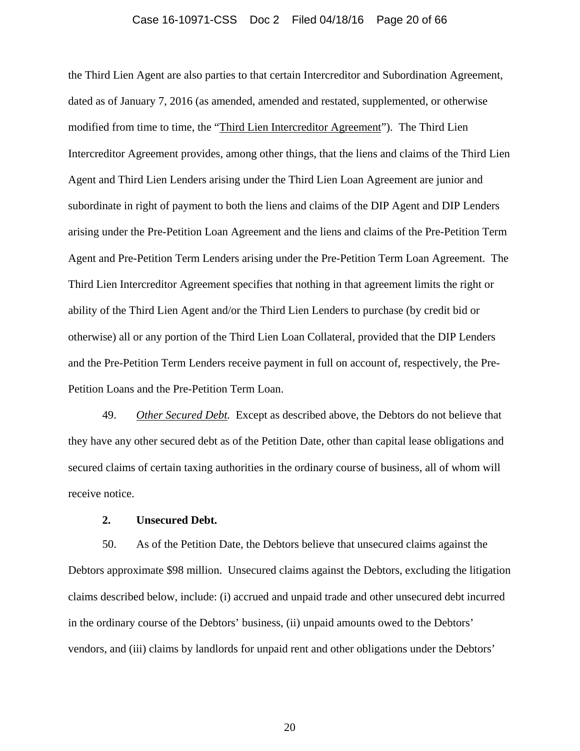#### Case 16-10971-CSS Doc 2 Filed 04/18/16 Page 20 of 66

the Third Lien Agent are also parties to that certain Intercreditor and Subordination Agreement, dated as of January 7, 2016 (as amended, amended and restated, supplemented, or otherwise modified from time to time, the "Third Lien Intercreditor Agreement"). The Third Lien Intercreditor Agreement provides, among other things, that the liens and claims of the Third Lien Agent and Third Lien Lenders arising under the Third Lien Loan Agreement are junior and subordinate in right of payment to both the liens and claims of the DIP Agent and DIP Lenders arising under the Pre-Petition Loan Agreement and the liens and claims of the Pre-Petition Term Agent and Pre-Petition Term Lenders arising under the Pre-Petition Term Loan Agreement. The Third Lien Intercreditor Agreement specifies that nothing in that agreement limits the right or ability of the Third Lien Agent and/or the Third Lien Lenders to purchase (by credit bid or otherwise) all or any portion of the Third Lien Loan Collateral, provided that the DIP Lenders and the Pre-Petition Term Lenders receive payment in full on account of, respectively, the Pre-Petition Loans and the Pre-Petition Term Loan.

49. *Other Secured Debt.* Except as described above, the Debtors do not believe that they have any other secured debt as of the Petition Date, other than capital lease obligations and secured claims of certain taxing authorities in the ordinary course of business, all of whom will receive notice.

# **2. Unsecured Debt.**

50. As of the Petition Date, the Debtors believe that unsecured claims against the Debtors approximate \$98 million. Unsecured claims against the Debtors, excluding the litigation claims described below, include: (i) accrued and unpaid trade and other unsecured debt incurred in the ordinary course of the Debtors' business, (ii) unpaid amounts owed to the Debtors' vendors, and (iii) claims by landlords for unpaid rent and other obligations under the Debtors'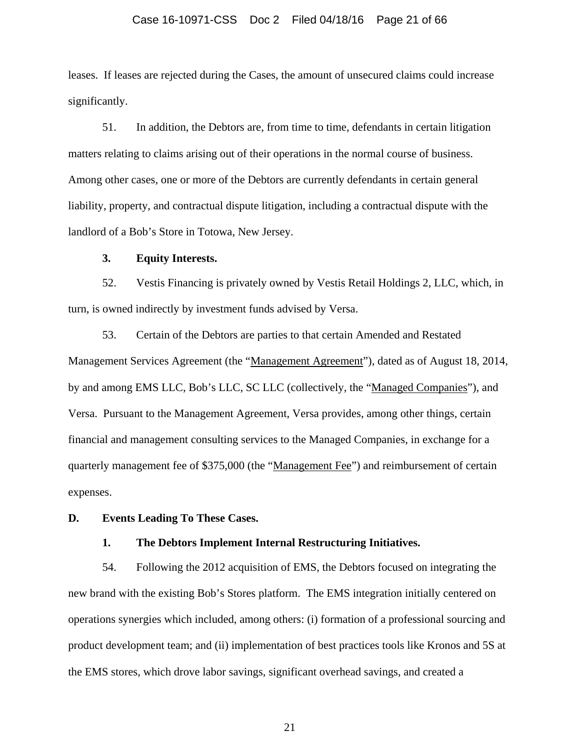### Case 16-10971-CSS Doc 2 Filed 04/18/16 Page 21 of 66

leases. If leases are rejected during the Cases, the amount of unsecured claims could increase significantly.

51. In addition, the Debtors are, from time to time, defendants in certain litigation matters relating to claims arising out of their operations in the normal course of business. Among other cases, one or more of the Debtors are currently defendants in certain general liability, property, and contractual dispute litigation, including a contractual dispute with the landlord of a Bob's Store in Totowa, New Jersey.

### **3. Equity Interests.**

52. Vestis Financing is privately owned by Vestis Retail Holdings 2, LLC, which, in turn, is owned indirectly by investment funds advised by Versa.

53. Certain of the Debtors are parties to that certain Amended and Restated Management Services Agreement (the "Management Agreement"), dated as of August 18, 2014, by and among EMS LLC, Bob's LLC, SC LLC (collectively, the "Managed Companies"), and Versa. Pursuant to the Management Agreement, Versa provides, among other things, certain financial and management consulting services to the Managed Companies, in exchange for a quarterly management fee of \$375,000 (the "Management Fee") and reimbursement of certain expenses.

# **D. Events Leading To These Cases.**

# **1. The Debtors Implement Internal Restructuring Initiatives.**

54. Following the 2012 acquisition of EMS, the Debtors focused on integrating the new brand with the existing Bob's Stores platform. The EMS integration initially centered on operations synergies which included, among others: (i) formation of a professional sourcing and product development team; and (ii) implementation of best practices tools like Kronos and 5S at the EMS stores, which drove labor savings, significant overhead savings, and created a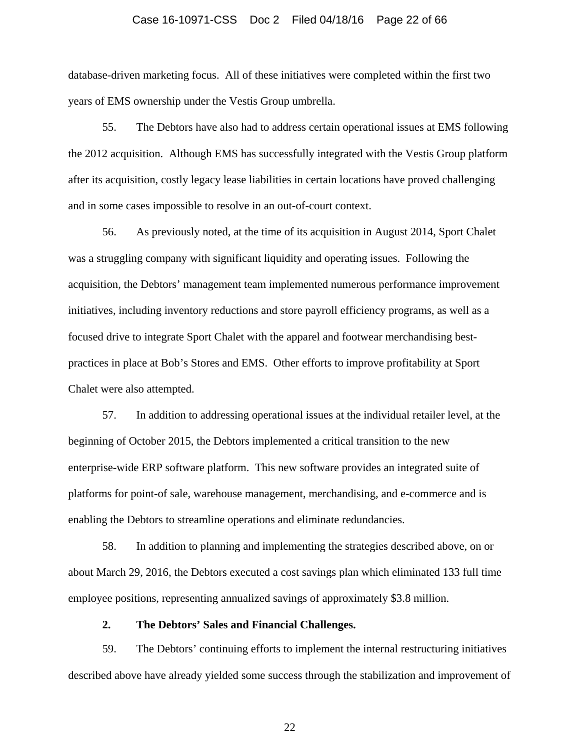#### Case 16-10971-CSS Doc 2 Filed 04/18/16 Page 22 of 66

database-driven marketing focus. All of these initiatives were completed within the first two years of EMS ownership under the Vestis Group umbrella.

55. The Debtors have also had to address certain operational issues at EMS following the 2012 acquisition. Although EMS has successfully integrated with the Vestis Group platform after its acquisition, costly legacy lease liabilities in certain locations have proved challenging and in some cases impossible to resolve in an out-of-court context.

56. As previously noted, at the time of its acquisition in August 2014, Sport Chalet was a struggling company with significant liquidity and operating issues. Following the acquisition, the Debtors' management team implemented numerous performance improvement initiatives, including inventory reductions and store payroll efficiency programs, as well as a focused drive to integrate Sport Chalet with the apparel and footwear merchandising bestpractices in place at Bob's Stores and EMS. Other efforts to improve profitability at Sport Chalet were also attempted.

57. In addition to addressing operational issues at the individual retailer level, at the beginning of October 2015, the Debtors implemented a critical transition to the new enterprise-wide ERP software platform. This new software provides an integrated suite of platforms for point-of sale, warehouse management, merchandising, and e-commerce and is enabling the Debtors to streamline operations and eliminate redundancies.

58. In addition to planning and implementing the strategies described above, on or about March 29, 2016, the Debtors executed a cost savings plan which eliminated 133 full time employee positions, representing annualized savings of approximately \$3.8 million.

# **2. The Debtors' Sales and Financial Challenges.**

59. The Debtors' continuing efforts to implement the internal restructuring initiatives described above have already yielded some success through the stabilization and improvement of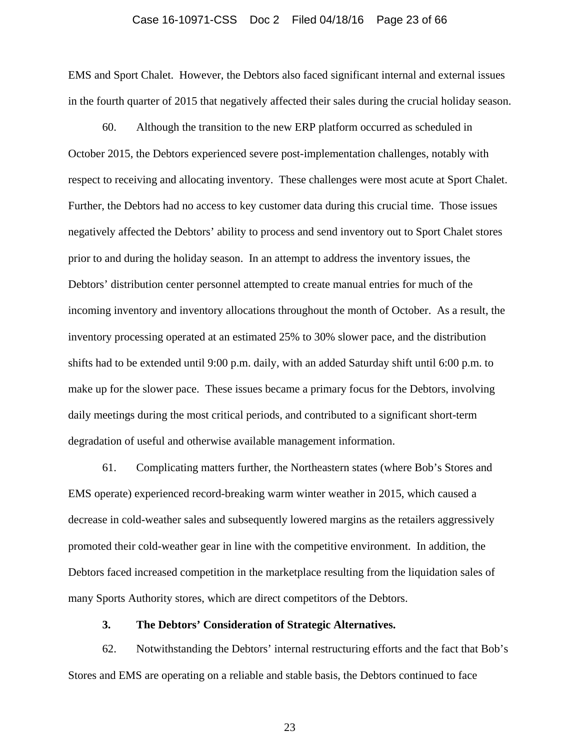#### Case 16-10971-CSS Doc 2 Filed 04/18/16 Page 23 of 66

EMS and Sport Chalet. However, the Debtors also faced significant internal and external issues in the fourth quarter of 2015 that negatively affected their sales during the crucial holiday season.

60. Although the transition to the new ERP platform occurred as scheduled in October 2015, the Debtors experienced severe post-implementation challenges, notably with respect to receiving and allocating inventory. These challenges were most acute at Sport Chalet. Further, the Debtors had no access to key customer data during this crucial time. Those issues negatively affected the Debtors' ability to process and send inventory out to Sport Chalet stores prior to and during the holiday season. In an attempt to address the inventory issues, the Debtors' distribution center personnel attempted to create manual entries for much of the incoming inventory and inventory allocations throughout the month of October. As a result, the inventory processing operated at an estimated 25% to 30% slower pace, and the distribution shifts had to be extended until 9:00 p.m. daily, with an added Saturday shift until 6:00 p.m. to make up for the slower pace. These issues became a primary focus for the Debtors, involving daily meetings during the most critical periods, and contributed to a significant short-term degradation of useful and otherwise available management information.

61. Complicating matters further, the Northeastern states (where Bob's Stores and EMS operate) experienced record-breaking warm winter weather in 2015, which caused a decrease in cold-weather sales and subsequently lowered margins as the retailers aggressively promoted their cold-weather gear in line with the competitive environment. In addition, the Debtors faced increased competition in the marketplace resulting from the liquidation sales of many Sports Authority stores, which are direct competitors of the Debtors.

# **3. The Debtors' Consideration of Strategic Alternatives.**

62. Notwithstanding the Debtors' internal restructuring efforts and the fact that Bob's Stores and EMS are operating on a reliable and stable basis, the Debtors continued to face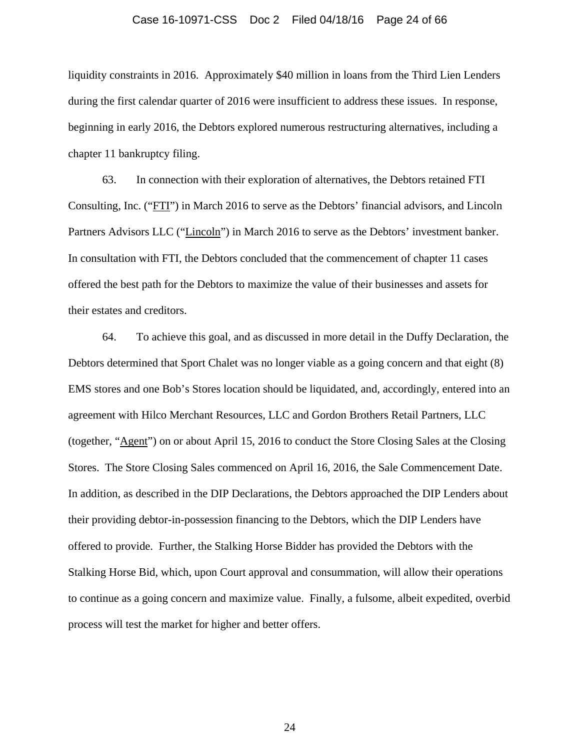#### Case 16-10971-CSS Doc 2 Filed 04/18/16 Page 24 of 66

liquidity constraints in 2016. Approximately \$40 million in loans from the Third Lien Lenders during the first calendar quarter of 2016 were insufficient to address these issues. In response, beginning in early 2016, the Debtors explored numerous restructuring alternatives, including a chapter 11 bankruptcy filing.

63. In connection with their exploration of alternatives, the Debtors retained FTI Consulting, Inc. ("FTI") in March 2016 to serve as the Debtors' financial advisors, and Lincoln Partners Advisors LLC ("Lincoln") in March 2016 to serve as the Debtors' investment banker. In consultation with FTI, the Debtors concluded that the commencement of chapter 11 cases offered the best path for the Debtors to maximize the value of their businesses and assets for their estates and creditors.

64. To achieve this goal, and as discussed in more detail in the Duffy Declaration, the Debtors determined that Sport Chalet was no longer viable as a going concern and that eight (8) EMS stores and one Bob's Stores location should be liquidated, and, accordingly, entered into an agreement with Hilco Merchant Resources, LLC and Gordon Brothers Retail Partners, LLC (together, "Agent") on or about April 15, 2016 to conduct the Store Closing Sales at the Closing Stores. The Store Closing Sales commenced on April 16, 2016, the Sale Commencement Date. In addition, as described in the DIP Declarations, the Debtors approached the DIP Lenders about their providing debtor-in-possession financing to the Debtors, which the DIP Lenders have offered to provide. Further, the Stalking Horse Bidder has provided the Debtors with the Stalking Horse Bid, which, upon Court approval and consummation, will allow their operations to continue as a going concern and maximize value. Finally, a fulsome, albeit expedited, overbid process will test the market for higher and better offers.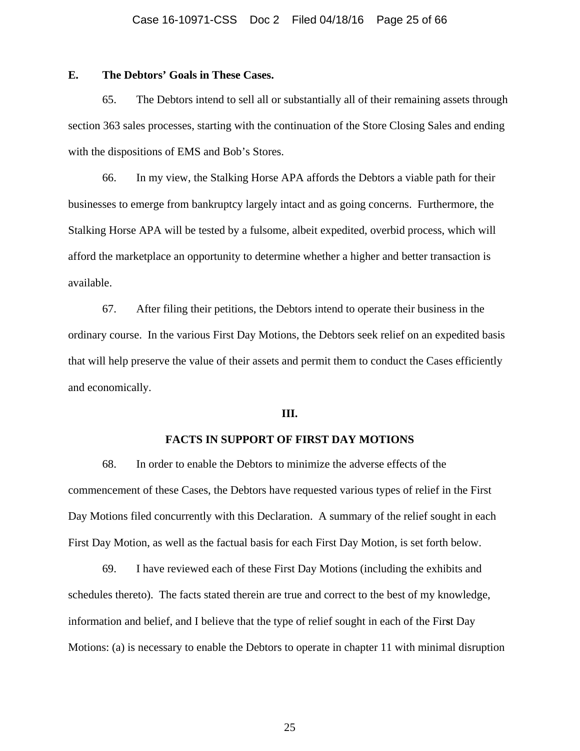# **E. The Debtors' Goals in These Cases.**

65. The Debtors intend to sell all or substantially all of their remaining assets through section 363 sales processes, starting with the continuation of the Store Closing Sales and ending with the dispositions of EMS and Bob's Stores.

66. In my view, the Stalking Horse APA affords the Debtors a viable path for their businesses to emerge from bankruptcy largely intact and as going concerns. Furthermore, the Stalking Horse APA will be tested by a fulsome, albeit expedited, overbid process, which will afford the marketplace an opportunity to determine whether a higher and better transaction is available.

67. After filing their petitions, the Debtors intend to operate their business in the ordinary course. In the various First Day Motions, the Debtors seek relief on an expedited basis that will help preserve the value of their assets and permit them to conduct the Cases efficiently and economically.

### **III.**

# **FACTS IN SUPPORT OF FIRST DAY MOTIONS**

68. In order to enable the Debtors to minimize the adverse effects of the commencement of these Cases, the Debtors have requested various types of relief in the First Day Motions filed concurrently with this Declaration. A summary of the relief sought in each First Day Motion, as well as the factual basis for each First Day Motion, is set forth below.

69. I have reviewed each of these First Day Motions (including the exhibits and schedules thereto). The facts stated therein are true and correct to the best of my knowledge, information and belief, and I believe that the type of relief sought in each of the Fir**s**t Day Motions: (a) is necessary to enable the Debtors to operate in chapter 11 with minimal disruption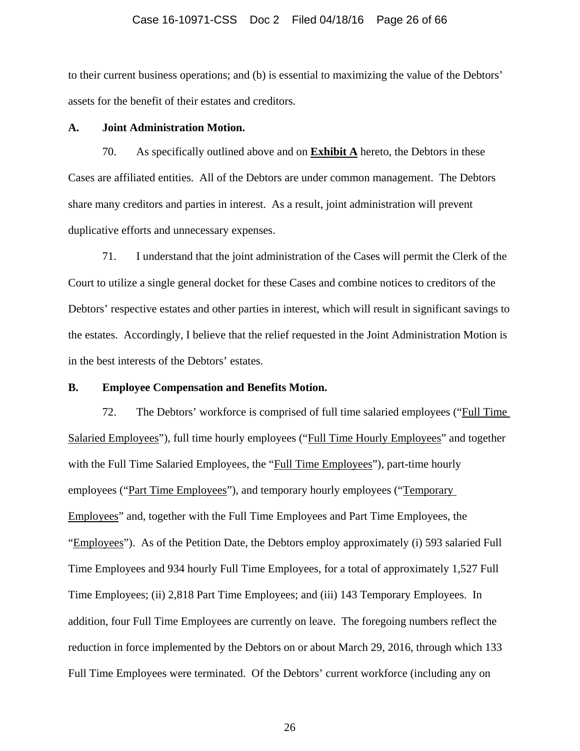### Case 16-10971-CSS Doc 2 Filed 04/18/16 Page 26 of 66

to their current business operations; and (b) is essential to maximizing the value of the Debtors' assets for the benefit of their estates and creditors.

# **A. Joint Administration Motion.**

70. As specifically outlined above and on **Exhibit A** hereto, the Debtors in these Cases are affiliated entities. All of the Debtors are under common management. The Debtors share many creditors and parties in interest. As a result, joint administration will prevent duplicative efforts and unnecessary expenses.

71. I understand that the joint administration of the Cases will permit the Clerk of the Court to utilize a single general docket for these Cases and combine notices to creditors of the Debtors' respective estates and other parties in interest, which will result in significant savings to the estates. Accordingly, I believe that the relief requested in the Joint Administration Motion is in the best interests of the Debtors' estates.

# **B. Employee Compensation and Benefits Motion.**

72. The Debtors' workforce is comprised of full time salaried employees ("Full Time Salaried Employees"), full time hourly employees ("Full Time Hourly Employees" and together with the Full Time Salaried Employees, the "Full Time Employees"), part-time hourly employees ("Part Time Employees"), and temporary hourly employees ("Temporary Employees" and, together with the Full Time Employees and Part Time Employees, the "Employees"). As of the Petition Date, the Debtors employ approximately (i) 593 salaried Full Time Employees and 934 hourly Full Time Employees, for a total of approximately 1,527 Full Time Employees; (ii) 2,818 Part Time Employees; and (iii) 143 Temporary Employees. In addition, four Full Time Employees are currently on leave. The foregoing numbers reflect the reduction in force implemented by the Debtors on or about March 29, 2016, through which 133 Full Time Employees were terminated. Of the Debtors' current workforce (including any on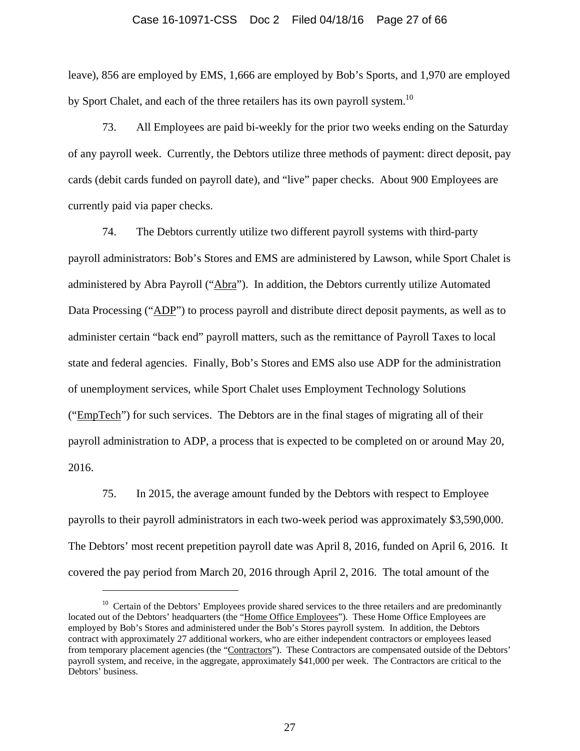### Case 16-10971-CSS Doc 2 Filed 04/18/16 Page 27 of 66

leave), 856 are employed by EMS, 1,666 are employed by Bob's Sports, and 1,970 are employed by Sport Chalet, and each of the three retailers has its own payroll system.<sup>10</sup>

73. All Employees are paid bi-weekly for the prior two weeks ending on the Saturday of any payroll week. Currently, the Debtors utilize three methods of payment: direct deposit, pay cards (debit cards funded on payroll date), and "live" paper checks. About 900 Employees are currently paid via paper checks.

74. The Debtors currently utilize two different payroll systems with third-party payroll administrators: Bob's Stores and EMS are administered by Lawson, while Sport Chalet is administered by Abra Payroll ("Abra"). In addition, the Debtors currently utilize Automated Data Processing ("ADP") to process payroll and distribute direct deposit payments, as well as to administer certain "back end" payroll matters, such as the remittance of Payroll Taxes to local state and federal agencies. Finally, Bob's Stores and EMS also use ADP for the administration of unemployment services, while Sport Chalet uses Employment Technology Solutions ("EmpTech") for such services. The Debtors are in the final stages of migrating all of their payroll administration to ADP, a process that is expected to be completed on or around May 20, 2016.

75. In 2015, the average amount funded by the Debtors with respect to Employee payrolls to their payroll administrators in each two-week period was approximately \$3,590,000. The Debtors' most recent prepetition payroll date was April 8, 2016, funded on April 6, 2016. It covered the pay period from March 20, 2016 through April 2, 2016. The total amount of the

 $\overline{a}$ 

 $10$  Certain of the Debtors' Employees provide shared services to the three retailers and are predominantly located out of the Debtors' headquarters (the "Home Office Employees"). These Home Office Employees are employed by Bob's Stores and administered under the Bob's Stores payroll system. In addition, the Debtors contract with approximately 27 additional workers, who are either independent contractors or employees leased from temporary placement agencies (the "Contractors"). These Contractors are compensated outside of the Debtors' payroll system, and receive, in the aggregate, approximately \$41,000 per week. The Contractors are critical to the Debtors' business.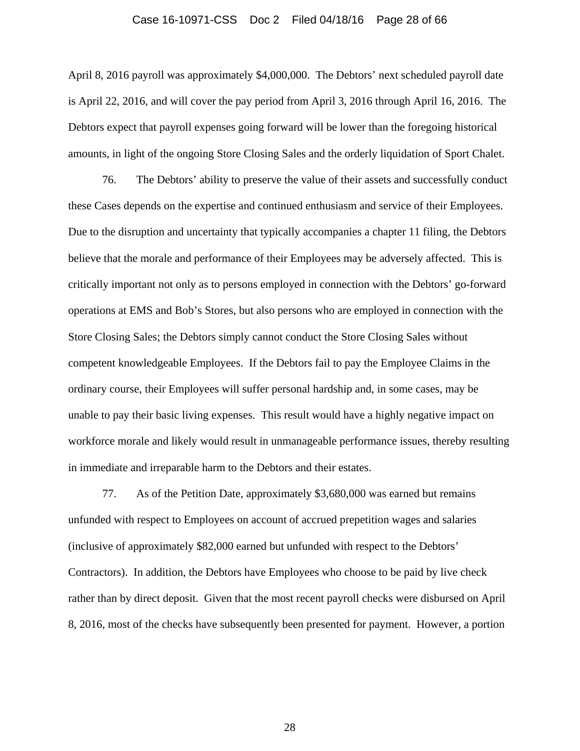#### Case 16-10971-CSS Doc 2 Filed 04/18/16 Page 28 of 66

April 8, 2016 payroll was approximately \$4,000,000. The Debtors' next scheduled payroll date is April 22, 2016, and will cover the pay period from April 3, 2016 through April 16, 2016. The Debtors expect that payroll expenses going forward will be lower than the foregoing historical amounts, in light of the ongoing Store Closing Sales and the orderly liquidation of Sport Chalet.

76. The Debtors' ability to preserve the value of their assets and successfully conduct these Cases depends on the expertise and continued enthusiasm and service of their Employees. Due to the disruption and uncertainty that typically accompanies a chapter 11 filing, the Debtors believe that the morale and performance of their Employees may be adversely affected. This is critically important not only as to persons employed in connection with the Debtors' go-forward operations at EMS and Bob's Stores, but also persons who are employed in connection with the Store Closing Sales; the Debtors simply cannot conduct the Store Closing Sales without competent knowledgeable Employees. If the Debtors fail to pay the Employee Claims in the ordinary course, their Employees will suffer personal hardship and, in some cases, may be unable to pay their basic living expenses. This result would have a highly negative impact on workforce morale and likely would result in unmanageable performance issues, thereby resulting in immediate and irreparable harm to the Debtors and their estates.

77. As of the Petition Date, approximately \$3,680,000 was earned but remains unfunded with respect to Employees on account of accrued prepetition wages and salaries (inclusive of approximately \$82,000 earned but unfunded with respect to the Debtors' Contractors). In addition, the Debtors have Employees who choose to be paid by live check rather than by direct deposit. Given that the most recent payroll checks were disbursed on April 8, 2016, most of the checks have subsequently been presented for payment. However, a portion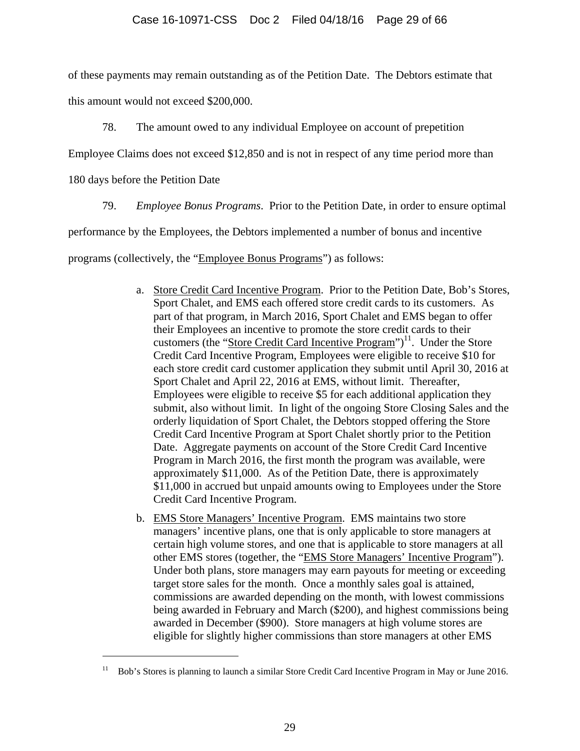of these payments may remain outstanding as of the Petition Date. The Debtors estimate that this amount would not exceed \$200,000.

78. The amount owed to any individual Employee on account of prepetition

Employee Claims does not exceed \$12,850 and is not in respect of any time period more than

180 days before the Petition Date

 $\overline{a}$ 

79. *Employee Bonus Programs*. Prior to the Petition Date, in order to ensure optimal

performance by the Employees, the Debtors implemented a number of bonus and incentive

programs (collectively, the "Employee Bonus Programs") as follows:

- a. Store Credit Card Incentive Program. Prior to the Petition Date, Bob's Stores, Sport Chalet, and EMS each offered store credit cards to its customers. As part of that program, in March 2016, Sport Chalet and EMS began to offer their Employees an incentive to promote the store credit cards to their customers (the "Store Credit Card Incentive Program")<sup>11</sup>. Under the Store Credit Card Incentive Program, Employees were eligible to receive \$10 for each store credit card customer application they submit until April 30, 2016 at Sport Chalet and April 22, 2016 at EMS, without limit. Thereafter, Employees were eligible to receive \$5 for each additional application they submit, also without limit. In light of the ongoing Store Closing Sales and the orderly liquidation of Sport Chalet, the Debtors stopped offering the Store Credit Card Incentive Program at Sport Chalet shortly prior to the Petition Date. Aggregate payments on account of the Store Credit Card Incentive Program in March 2016, the first month the program was available, were approximately \$11,000. As of the Petition Date, there is approximately \$11,000 in accrued but unpaid amounts owing to Employees under the Store Credit Card Incentive Program.
- b. EMS Store Managers' Incentive Program. EMS maintains two store managers' incentive plans, one that is only applicable to store managers at certain high volume stores, and one that is applicable to store managers at all other EMS stores (together, the "EMS Store Managers' Incentive Program"). Under both plans, store managers may earn payouts for meeting or exceeding target store sales for the month. Once a monthly sales goal is attained, commissions are awarded depending on the month, with lowest commissions being awarded in February and March (\$200), and highest commissions being awarded in December (\$900). Store managers at high volume stores are eligible for slightly higher commissions than store managers at other EMS

<sup>&</sup>lt;sup>11</sup> Bob's Stores is planning to launch a similar Store Credit Card Incentive Program in May or June 2016.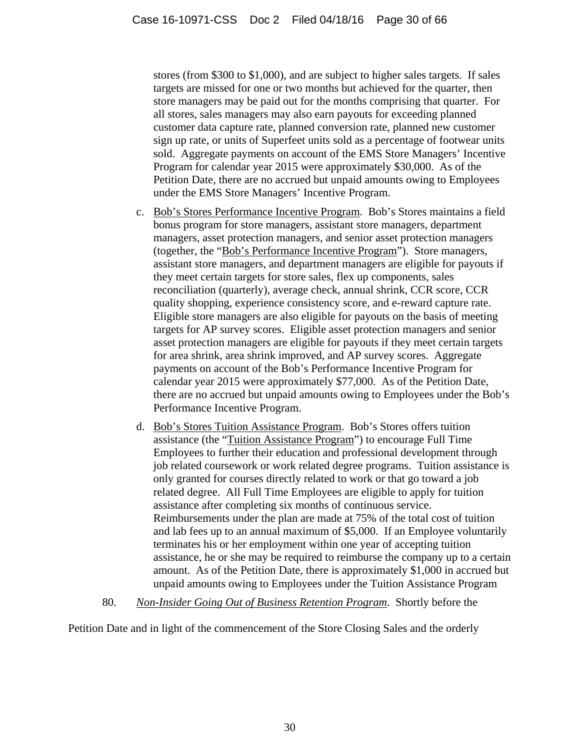stores (from \$300 to \$1,000), and are subject to higher sales targets. If sales targets are missed for one or two months but achieved for the quarter, then store managers may be paid out for the months comprising that quarter. For all stores, sales managers may also earn payouts for exceeding planned customer data capture rate, planned conversion rate, planned new customer sign up rate, or units of Superfeet units sold as a percentage of footwear units sold. Aggregate payments on account of the EMS Store Managers' Incentive Program for calendar year 2015 were approximately \$30,000. As of the Petition Date, there are no accrued but unpaid amounts owing to Employees under the EMS Store Managers' Incentive Program.

- c. Bob's Stores Performance Incentive Program. Bob's Stores maintains a field bonus program for store managers, assistant store managers, department managers, asset protection managers, and senior asset protection managers (together, the "Bob's Performance Incentive Program"). Store managers, assistant store managers, and department managers are eligible for payouts if they meet certain targets for store sales, flex up components, sales reconciliation (quarterly), average check, annual shrink, CCR score, CCR quality shopping, experience consistency score, and e-reward capture rate. Eligible store managers are also eligible for payouts on the basis of meeting targets for AP survey scores. Eligible asset protection managers and senior asset protection managers are eligible for payouts if they meet certain targets for area shrink, area shrink improved, and AP survey scores. Aggregate payments on account of the Bob's Performance Incentive Program for calendar year 2015 were approximately \$77,000. As of the Petition Date, there are no accrued but unpaid amounts owing to Employees under the Bob's Performance Incentive Program.
- d. Bob's Stores Tuition Assistance Program. Bob's Stores offers tuition assistance (the "Tuition Assistance Program") to encourage Full Time Employees to further their education and professional development through job related coursework or work related degree programs. Tuition assistance is only granted for courses directly related to work or that go toward a job related degree. All Full Time Employees are eligible to apply for tuition assistance after completing six months of continuous service. Reimbursements under the plan are made at 75% of the total cost of tuition and lab fees up to an annual maximum of \$5,000. If an Employee voluntarily terminates his or her employment within one year of accepting tuition assistance, he or she may be required to reimburse the company up to a certain amount. As of the Petition Date, there is approximately \$1,000 in accrued but unpaid amounts owing to Employees under the Tuition Assistance Program
- 80. *Non-Insider Going Out of Business Retention Program*. Shortly before the

Petition Date and in light of the commencement of the Store Closing Sales and the orderly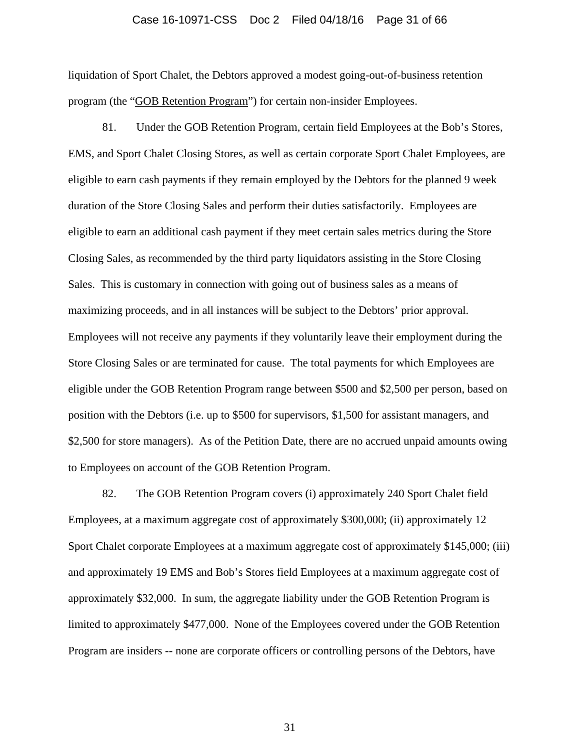#### Case 16-10971-CSS Doc 2 Filed 04/18/16 Page 31 of 66

liquidation of Sport Chalet, the Debtors approved a modest going-out-of-business retention program (the "GOB Retention Program") for certain non-insider Employees.

81. Under the GOB Retention Program, certain field Employees at the Bob's Stores, EMS, and Sport Chalet Closing Stores, as well as certain corporate Sport Chalet Employees, are eligible to earn cash payments if they remain employed by the Debtors for the planned 9 week duration of the Store Closing Sales and perform their duties satisfactorily. Employees are eligible to earn an additional cash payment if they meet certain sales metrics during the Store Closing Sales, as recommended by the third party liquidators assisting in the Store Closing Sales. This is customary in connection with going out of business sales as a means of maximizing proceeds, and in all instances will be subject to the Debtors' prior approval. Employees will not receive any payments if they voluntarily leave their employment during the Store Closing Sales or are terminated for cause. The total payments for which Employees are eligible under the GOB Retention Program range between \$500 and \$2,500 per person, based on position with the Debtors (i.e. up to \$500 for supervisors, \$1,500 for assistant managers, and \$2,500 for store managers). As of the Petition Date, there are no accrued unpaid amounts owing to Employees on account of the GOB Retention Program.

82. The GOB Retention Program covers (i) approximately 240 Sport Chalet field Employees, at a maximum aggregate cost of approximately \$300,000; (ii) approximately 12 Sport Chalet corporate Employees at a maximum aggregate cost of approximately \$145,000; (iii) and approximately 19 EMS and Bob's Stores field Employees at a maximum aggregate cost of approximately \$32,000. In sum, the aggregate liability under the GOB Retention Program is limited to approximately \$477,000. None of the Employees covered under the GOB Retention Program are insiders -- none are corporate officers or controlling persons of the Debtors, have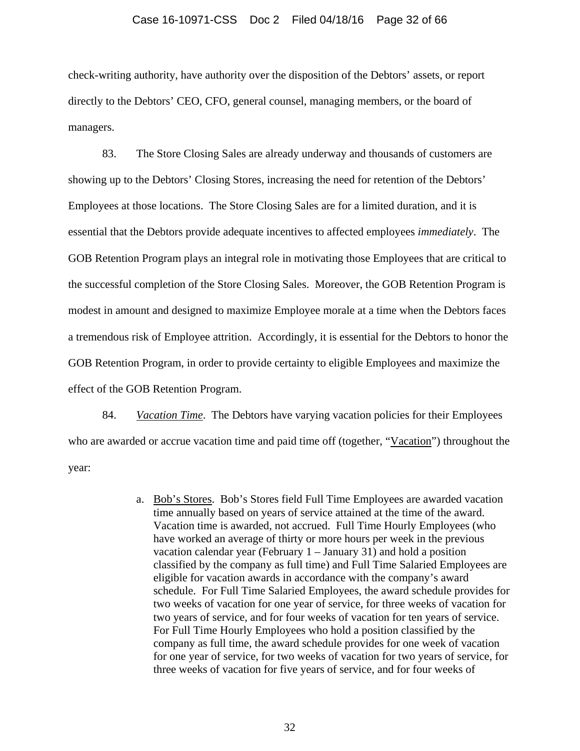### Case 16-10971-CSS Doc 2 Filed 04/18/16 Page 32 of 66

check-writing authority, have authority over the disposition of the Debtors' assets, or report directly to the Debtors' CEO, CFO, general counsel, managing members, or the board of managers.

83. The Store Closing Sales are already underway and thousands of customers are showing up to the Debtors' Closing Stores, increasing the need for retention of the Debtors' Employees at those locations. The Store Closing Sales are for a limited duration, and it is essential that the Debtors provide adequate incentives to affected employees *immediately*. The GOB Retention Program plays an integral role in motivating those Employees that are critical to the successful completion of the Store Closing Sales. Moreover, the GOB Retention Program is modest in amount and designed to maximize Employee morale at a time when the Debtors faces a tremendous risk of Employee attrition. Accordingly, it is essential for the Debtors to honor the GOB Retention Program, in order to provide certainty to eligible Employees and maximize the effect of the GOB Retention Program.

84. *Vacation Time*. The Debtors have varying vacation policies for their Employees who are awarded or accrue vacation time and paid time off (together, "Vacation") throughout the year:

> a. Bob's Stores. Bob's Stores field Full Time Employees are awarded vacation time annually based on years of service attained at the time of the award. Vacation time is awarded, not accrued. Full Time Hourly Employees (who have worked an average of thirty or more hours per week in the previous vacation calendar year (February 1 – January 31) and hold a position classified by the company as full time) and Full Time Salaried Employees are eligible for vacation awards in accordance with the company's award schedule. For Full Time Salaried Employees, the award schedule provides for two weeks of vacation for one year of service, for three weeks of vacation for two years of service, and for four weeks of vacation for ten years of service. For Full Time Hourly Employees who hold a position classified by the company as full time, the award schedule provides for one week of vacation for one year of service, for two weeks of vacation for two years of service, for three weeks of vacation for five years of service, and for four weeks of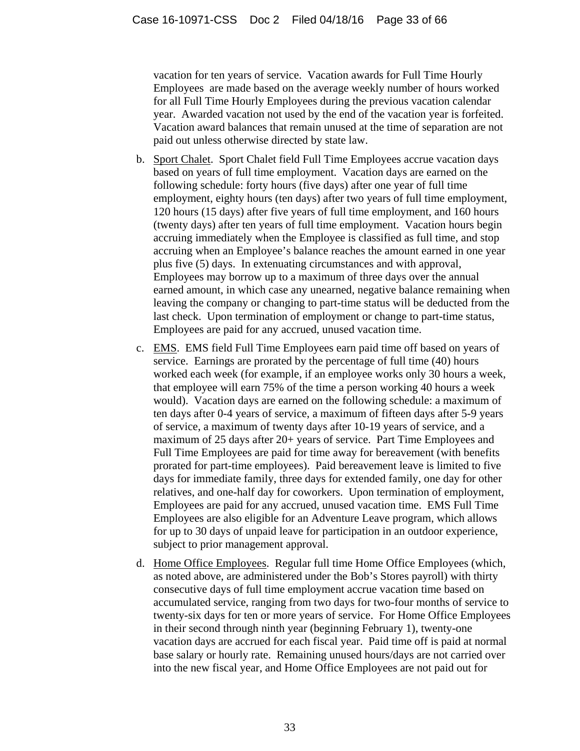vacation for ten years of service. Vacation awards for Full Time Hourly Employees are made based on the average weekly number of hours worked for all Full Time Hourly Employees during the previous vacation calendar year. Awarded vacation not used by the end of the vacation year is forfeited. Vacation award balances that remain unused at the time of separation are not paid out unless otherwise directed by state law.

- b. Sport Chalet. Sport Chalet field Full Time Employees accrue vacation days based on years of full time employment. Vacation days are earned on the following schedule: forty hours (five days) after one year of full time employment, eighty hours (ten days) after two years of full time employment, 120 hours (15 days) after five years of full time employment, and 160 hours (twenty days) after ten years of full time employment. Vacation hours begin accruing immediately when the Employee is classified as full time, and stop accruing when an Employee's balance reaches the amount earned in one year plus five (5) days. In extenuating circumstances and with approval, Employees may borrow up to a maximum of three days over the annual earned amount, in which case any unearned, negative balance remaining when leaving the company or changing to part-time status will be deducted from the last check. Upon termination of employment or change to part-time status, Employees are paid for any accrued, unused vacation time.
- c. EMS. EMS field Full Time Employees earn paid time off based on years of service. Earnings are prorated by the percentage of full time (40) hours worked each week (for example, if an employee works only 30 hours a week, that employee will earn 75% of the time a person working 40 hours a week would). Vacation days are earned on the following schedule: a maximum of ten days after 0-4 years of service, a maximum of fifteen days after 5-9 years of service, a maximum of twenty days after 10-19 years of service, and a maximum of 25 days after 20+ years of service. Part Time Employees and Full Time Employees are paid for time away for bereavement (with benefits prorated for part-time employees). Paid bereavement leave is limited to five days for immediate family, three days for extended family, one day for other relatives, and one-half day for coworkers. Upon termination of employment, Employees are paid for any accrued, unused vacation time. EMS Full Time Employees are also eligible for an Adventure Leave program, which allows for up to 30 days of unpaid leave for participation in an outdoor experience, subject to prior management approval.
- d. Home Office Employees. Regular full time Home Office Employees (which, as noted above, are administered under the Bob's Stores payroll) with thirty consecutive days of full time employment accrue vacation time based on accumulated service, ranging from two days for two-four months of service to twenty-six days for ten or more years of service. For Home Office Employees in their second through ninth year (beginning February 1), twenty-one vacation days are accrued for each fiscal year. Paid time off is paid at normal base salary or hourly rate. Remaining unused hours/days are not carried over into the new fiscal year, and Home Office Employees are not paid out for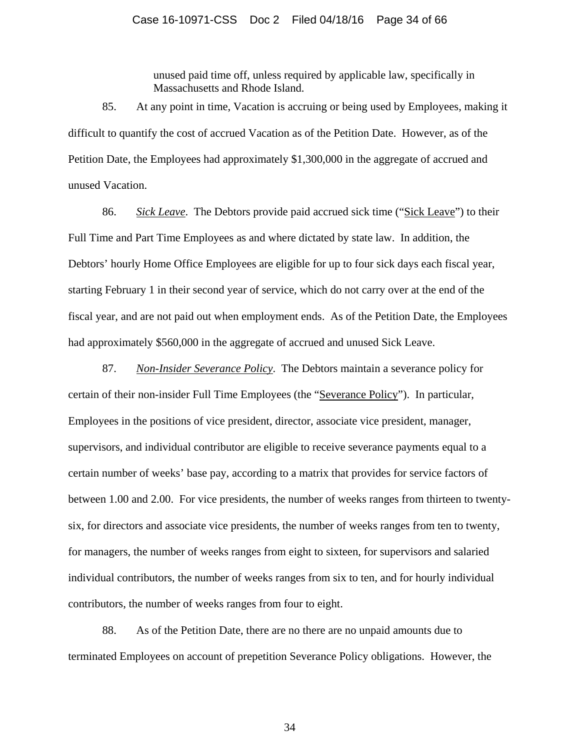unused paid time off, unless required by applicable law, specifically in Massachusetts and Rhode Island.

85. At any point in time, Vacation is accruing or being used by Employees, making it difficult to quantify the cost of accrued Vacation as of the Petition Date. However, as of the Petition Date, the Employees had approximately \$1,300,000 in the aggregate of accrued and unused Vacation.

86. *Sick Leave*. The Debtors provide paid accrued sick time ("Sick Leave") to their Full Time and Part Time Employees as and where dictated by state law. In addition, the Debtors' hourly Home Office Employees are eligible for up to four sick days each fiscal year, starting February 1 in their second year of service, which do not carry over at the end of the fiscal year, and are not paid out when employment ends. As of the Petition Date, the Employees had approximately \$560,000 in the aggregate of accrued and unused Sick Leave.

87. *Non-Insider Severance Policy*. The Debtors maintain a severance policy for certain of their non-insider Full Time Employees (the "Severance Policy"). In particular, Employees in the positions of vice president, director, associate vice president, manager, supervisors, and individual contributor are eligible to receive severance payments equal to a certain number of weeks' base pay, according to a matrix that provides for service factors of between 1.00 and 2.00. For vice presidents, the number of weeks ranges from thirteen to twentysix, for directors and associate vice presidents, the number of weeks ranges from ten to twenty, for managers, the number of weeks ranges from eight to sixteen, for supervisors and salaried individual contributors, the number of weeks ranges from six to ten, and for hourly individual contributors, the number of weeks ranges from four to eight.

88. As of the Petition Date, there are no there are no unpaid amounts due to terminated Employees on account of prepetition Severance Policy obligations. However, the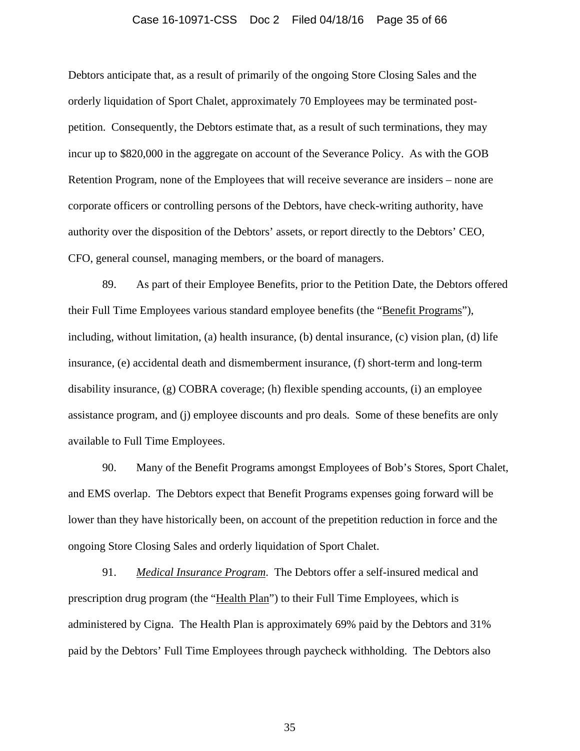#### Case 16-10971-CSS Doc 2 Filed 04/18/16 Page 35 of 66

Debtors anticipate that, as a result of primarily of the ongoing Store Closing Sales and the orderly liquidation of Sport Chalet, approximately 70 Employees may be terminated postpetition. Consequently, the Debtors estimate that, as a result of such terminations, they may incur up to \$820,000 in the aggregate on account of the Severance Policy. As with the GOB Retention Program, none of the Employees that will receive severance are insiders – none are corporate officers or controlling persons of the Debtors, have check-writing authority, have authority over the disposition of the Debtors' assets, or report directly to the Debtors' CEO, CFO, general counsel, managing members, or the board of managers.

89. As part of their Employee Benefits, prior to the Petition Date, the Debtors offered their Full Time Employees various standard employee benefits (the "Benefit Programs"), including, without limitation, (a) health insurance, (b) dental insurance, (c) vision plan, (d) life insurance, (e) accidental death and dismemberment insurance, (f) short-term and long-term disability insurance, (g) COBRA coverage; (h) flexible spending accounts, (i) an employee assistance program, and (j) employee discounts and pro deals. Some of these benefits are only available to Full Time Employees.

90. Many of the Benefit Programs amongst Employees of Bob's Stores, Sport Chalet, and EMS overlap. The Debtors expect that Benefit Programs expenses going forward will be lower than they have historically been, on account of the prepetition reduction in force and the ongoing Store Closing Sales and orderly liquidation of Sport Chalet.

91. *Medical Insurance Program*. The Debtors offer a self-insured medical and prescription drug program (the "Health Plan") to their Full Time Employees, which is administered by Cigna. The Health Plan is approximately 69% paid by the Debtors and 31% paid by the Debtors' Full Time Employees through paycheck withholding. The Debtors also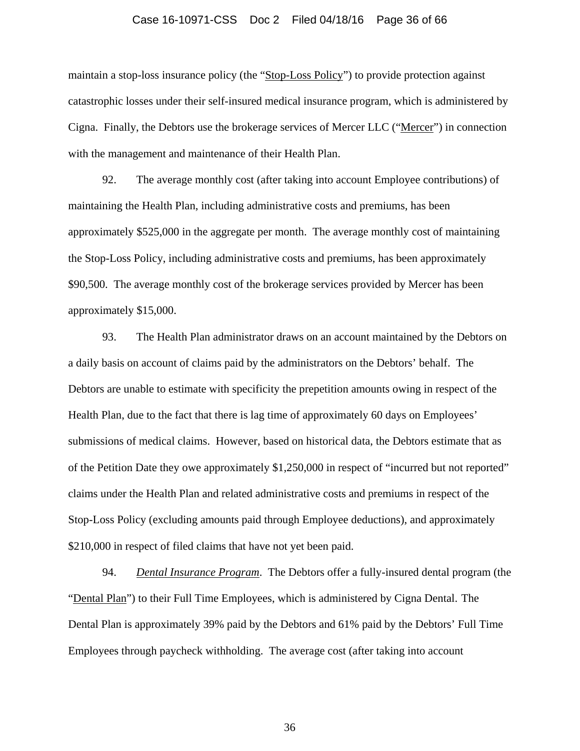#### Case 16-10971-CSS Doc 2 Filed 04/18/16 Page 36 of 66

maintain a stop-loss insurance policy (the "Stop-Loss Policy") to provide protection against catastrophic losses under their self-insured medical insurance program, which is administered by Cigna. Finally, the Debtors use the brokerage services of Mercer LLC ("Mercer") in connection with the management and maintenance of their Health Plan.

92. The average monthly cost (after taking into account Employee contributions) of maintaining the Health Plan, including administrative costs and premiums, has been approximately \$525,000 in the aggregate per month. The average monthly cost of maintaining the Stop-Loss Policy, including administrative costs and premiums, has been approximately \$90,500. The average monthly cost of the brokerage services provided by Mercer has been approximately \$15,000.

93. The Health Plan administrator draws on an account maintained by the Debtors on a daily basis on account of claims paid by the administrators on the Debtors' behalf. The Debtors are unable to estimate with specificity the prepetition amounts owing in respect of the Health Plan, due to the fact that there is lag time of approximately 60 days on Employees' submissions of medical claims. However, based on historical data, the Debtors estimate that as of the Petition Date they owe approximately \$1,250,000 in respect of "incurred but not reported" claims under the Health Plan and related administrative costs and premiums in respect of the Stop-Loss Policy (excluding amounts paid through Employee deductions), and approximately \$210,000 in respect of filed claims that have not yet been paid.

94. *Dental Insurance Program*. The Debtors offer a fully-insured dental program (the "Dental Plan") to their Full Time Employees, which is administered by Cigna Dental. The Dental Plan is approximately 39% paid by the Debtors and 61% paid by the Debtors' Full Time Employees through paycheck withholding. The average cost (after taking into account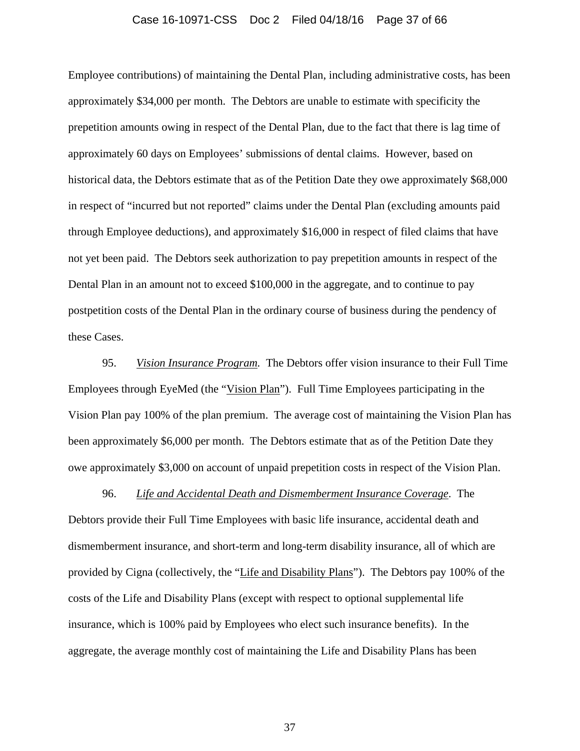#### Case 16-10971-CSS Doc 2 Filed 04/18/16 Page 37 of 66

Employee contributions) of maintaining the Dental Plan, including administrative costs, has been approximately \$34,000 per month. The Debtors are unable to estimate with specificity the prepetition amounts owing in respect of the Dental Plan, due to the fact that there is lag time of approximately 60 days on Employees' submissions of dental claims. However, based on historical data, the Debtors estimate that as of the Petition Date they owe approximately \$68,000 in respect of "incurred but not reported" claims under the Dental Plan (excluding amounts paid through Employee deductions), and approximately \$16,000 in respect of filed claims that have not yet been paid. The Debtors seek authorization to pay prepetition amounts in respect of the Dental Plan in an amount not to exceed \$100,000 in the aggregate, and to continue to pay postpetition costs of the Dental Plan in the ordinary course of business during the pendency of these Cases.

95. *Vision Insurance Program.* The Debtors offer vision insurance to their Full Time Employees through EyeMed (the "Vision Plan"). Full Time Employees participating in the Vision Plan pay 100% of the plan premium. The average cost of maintaining the Vision Plan has been approximately \$6,000 per month. The Debtors estimate that as of the Petition Date they owe approximately \$3,000 on account of unpaid prepetition costs in respect of the Vision Plan.

96. *Life and Accidental Death and Dismemberment Insurance Coverage*. The Debtors provide their Full Time Employees with basic life insurance, accidental death and dismemberment insurance, and short-term and long-term disability insurance, all of which are provided by Cigna (collectively, the "Life and Disability Plans"). The Debtors pay 100% of the costs of the Life and Disability Plans (except with respect to optional supplemental life insurance, which is 100% paid by Employees who elect such insurance benefits). In the aggregate, the average monthly cost of maintaining the Life and Disability Plans has been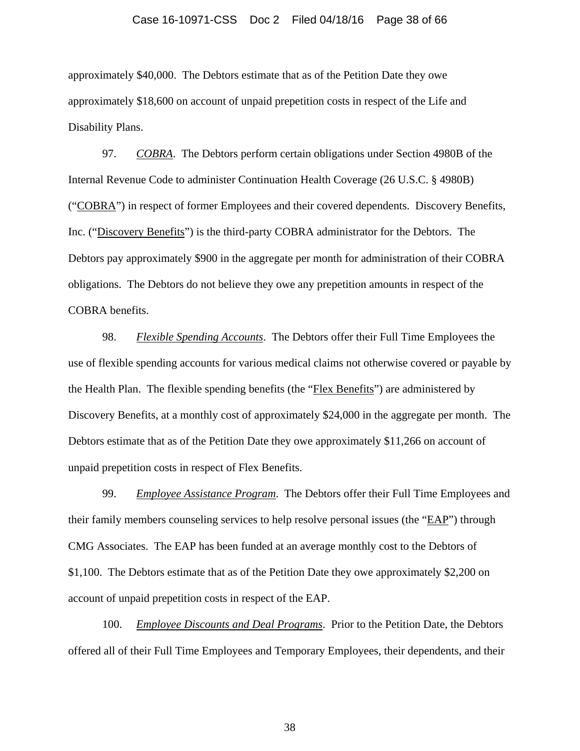### Case 16-10971-CSS Doc 2 Filed 04/18/16 Page 38 of 66

approximately \$40,000. The Debtors estimate that as of the Petition Date they owe approximately \$18,600 on account of unpaid prepetition costs in respect of the Life and Disability Plans.

97. *COBRA*. The Debtors perform certain obligations under Section 4980B of the Internal Revenue Code to administer Continuation Health Coverage (26 U.S.C. § 4980B) ("COBRA") in respect of former Employees and their covered dependents. Discovery Benefits, Inc. ("Discovery Benefits") is the third-party COBRA administrator for the Debtors. The Debtors pay approximately \$900 in the aggregate per month for administration of their COBRA obligations. The Debtors do not believe they owe any prepetition amounts in respect of the COBRA benefits.

98. *Flexible Spending Accounts*. The Debtors offer their Full Time Employees the use of flexible spending accounts for various medical claims not otherwise covered or payable by the Health Plan. The flexible spending benefits (the "Flex Benefits") are administered by Discovery Benefits, at a monthly cost of approximately \$24,000 in the aggregate per month. The Debtors estimate that as of the Petition Date they owe approximately \$11,266 on account of unpaid prepetition costs in respect of Flex Benefits.

99. *Employee Assistance Program*. The Debtors offer their Full Time Employees and their family members counseling services to help resolve personal issues (the "EAP") through CMG Associates. The EAP has been funded at an average monthly cost to the Debtors of \$1,100. The Debtors estimate that as of the Petition Date they owe approximately \$2,200 on account of unpaid prepetition costs in respect of the EAP.

100. *Employee Discounts and Deal Programs*. Prior to the Petition Date, the Debtors offered all of their Full Time Employees and Temporary Employees, their dependents, and their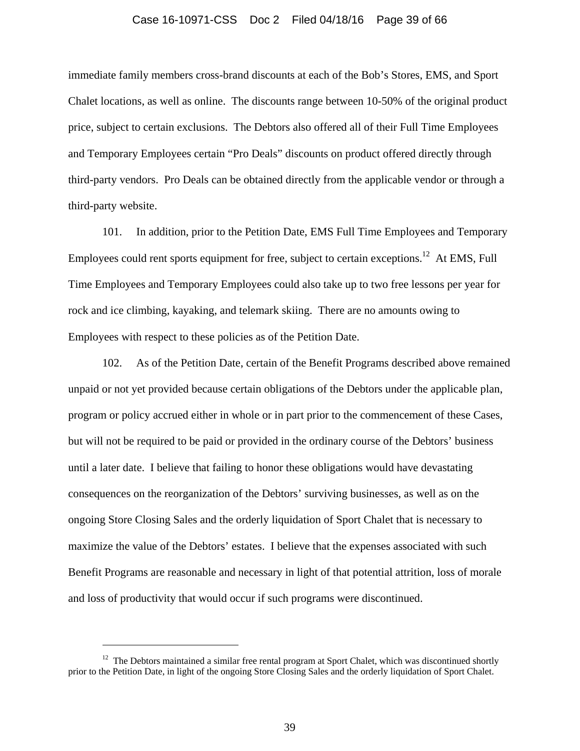#### Case 16-10971-CSS Doc 2 Filed 04/18/16 Page 39 of 66

immediate family members cross-brand discounts at each of the Bob's Stores, EMS, and Sport Chalet locations, as well as online. The discounts range between 10-50% of the original product price, subject to certain exclusions. The Debtors also offered all of their Full Time Employees and Temporary Employees certain "Pro Deals" discounts on product offered directly through third-party vendors. Pro Deals can be obtained directly from the applicable vendor or through a third-party website.

101. In addition, prior to the Petition Date, EMS Full Time Employees and Temporary Employees could rent sports equipment for free, subject to certain exceptions.<sup>12</sup> At EMS, Full Time Employees and Temporary Employees could also take up to two free lessons per year for rock and ice climbing, kayaking, and telemark skiing. There are no amounts owing to Employees with respect to these policies as of the Petition Date.

102. As of the Petition Date, certain of the Benefit Programs described above remained unpaid or not yet provided because certain obligations of the Debtors under the applicable plan, program or policy accrued either in whole or in part prior to the commencement of these Cases, but will not be required to be paid or provided in the ordinary course of the Debtors' business until a later date. I believe that failing to honor these obligations would have devastating consequences on the reorganization of the Debtors' surviving businesses, as well as on the ongoing Store Closing Sales and the orderly liquidation of Sport Chalet that is necessary to maximize the value of the Debtors' estates. I believe that the expenses associated with such Benefit Programs are reasonable and necessary in light of that potential attrition, loss of morale and loss of productivity that would occur if such programs were discontinued.

 $\overline{a}$ 

 $12$  The Debtors maintained a similar free rental program at Sport Chalet, which was discontinued shortly prior to the Petition Date, in light of the ongoing Store Closing Sales and the orderly liquidation of Sport Chalet.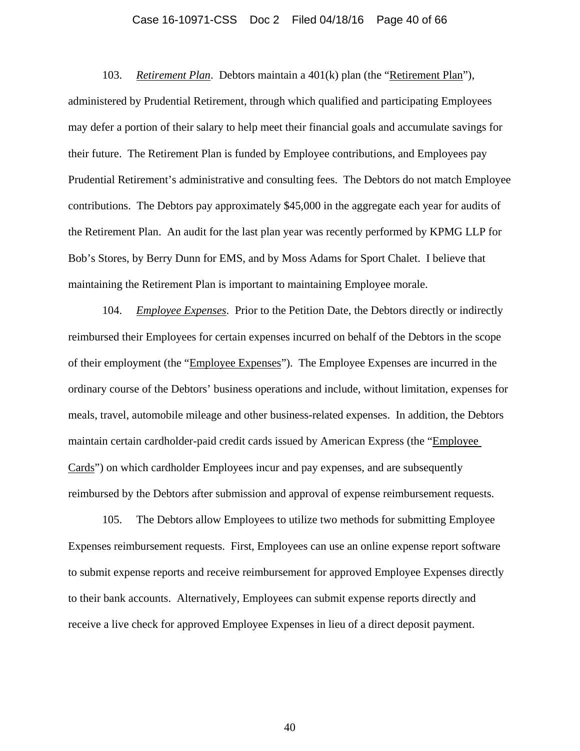#### Case 16-10971-CSS Doc 2 Filed 04/18/16 Page 40 of 66

103. *Retirement Plan*. Debtors maintain a 401(k) plan (the "Retirement Plan"), administered by Prudential Retirement, through which qualified and participating Employees may defer a portion of their salary to help meet their financial goals and accumulate savings for their future. The Retirement Plan is funded by Employee contributions, and Employees pay Prudential Retirement's administrative and consulting fees. The Debtors do not match Employee contributions. The Debtors pay approximately \$45,000 in the aggregate each year for audits of the Retirement Plan. An audit for the last plan year was recently performed by KPMG LLP for Bob's Stores, by Berry Dunn for EMS, and by Moss Adams for Sport Chalet. I believe that maintaining the Retirement Plan is important to maintaining Employee morale.

104. *Employee Expenses*. Prior to the Petition Date, the Debtors directly or indirectly reimbursed their Employees for certain expenses incurred on behalf of the Debtors in the scope of their employment (the "Employee Expenses"). The Employee Expenses are incurred in the ordinary course of the Debtors' business operations and include, without limitation, expenses for meals, travel, automobile mileage and other business-related expenses. In addition, the Debtors maintain certain cardholder-paid credit cards issued by American Express (the "Employee Cards") on which cardholder Employees incur and pay expenses, and are subsequently reimbursed by the Debtors after submission and approval of expense reimbursement requests.

105. The Debtors allow Employees to utilize two methods for submitting Employee Expenses reimbursement requests. First, Employees can use an online expense report software to submit expense reports and receive reimbursement for approved Employee Expenses directly to their bank accounts. Alternatively, Employees can submit expense reports directly and receive a live check for approved Employee Expenses in lieu of a direct deposit payment.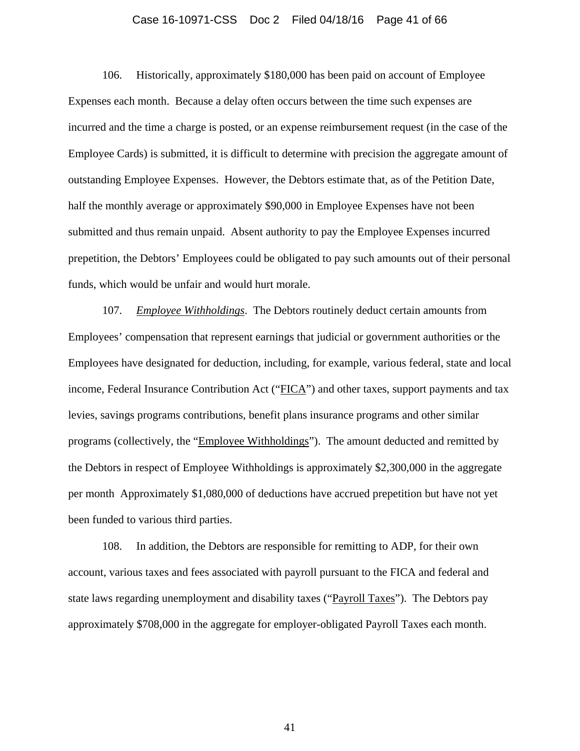#### Case 16-10971-CSS Doc 2 Filed 04/18/16 Page 41 of 66

106. Historically, approximately \$180,000 has been paid on account of Employee Expenses each month. Because a delay often occurs between the time such expenses are incurred and the time a charge is posted, or an expense reimbursement request (in the case of the Employee Cards) is submitted, it is difficult to determine with precision the aggregate amount of outstanding Employee Expenses. However, the Debtors estimate that, as of the Petition Date, half the monthly average or approximately \$90,000 in Employee Expenses have not been submitted and thus remain unpaid. Absent authority to pay the Employee Expenses incurred prepetition, the Debtors' Employees could be obligated to pay such amounts out of their personal funds, which would be unfair and would hurt morale.

107. *Employee Withholdings*. The Debtors routinely deduct certain amounts from Employees' compensation that represent earnings that judicial or government authorities or the Employees have designated for deduction, including, for example, various federal, state and local income, Federal Insurance Contribution Act ("FICA") and other taxes, support payments and tax levies, savings programs contributions, benefit plans insurance programs and other similar programs (collectively, the "Employee Withholdings"). The amount deducted and remitted by the Debtors in respect of Employee Withholdings is approximately \$2,300,000 in the aggregate per month Approximately \$1,080,000 of deductions have accrued prepetition but have not yet been funded to various third parties.

108. In addition, the Debtors are responsible for remitting to ADP, for their own account, various taxes and fees associated with payroll pursuant to the FICA and federal and state laws regarding unemployment and disability taxes ("Payroll Taxes"). The Debtors pay approximately \$708,000 in the aggregate for employer-obligated Payroll Taxes each month.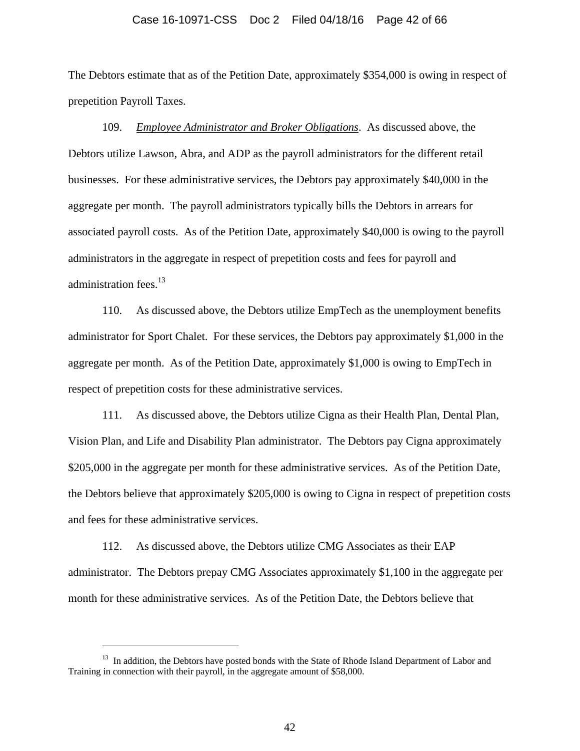#### Case 16-10971-CSS Doc 2 Filed 04/18/16 Page 42 of 66

The Debtors estimate that as of the Petition Date, approximately \$354,000 is owing in respect of prepetition Payroll Taxes.

109. *Employee Administrator and Broker Obligations*. As discussed above, the Debtors utilize Lawson, Abra, and ADP as the payroll administrators for the different retail businesses. For these administrative services, the Debtors pay approximately \$40,000 in the aggregate per month. The payroll administrators typically bills the Debtors in arrears for associated payroll costs. As of the Petition Date, approximately \$40,000 is owing to the payroll administrators in the aggregate in respect of prepetition costs and fees for payroll and administration fees. $^{13}$ 

110. As discussed above, the Debtors utilize EmpTech as the unemployment benefits administrator for Sport Chalet. For these services, the Debtors pay approximately \$1,000 in the aggregate per month. As of the Petition Date, approximately \$1,000 is owing to EmpTech in respect of prepetition costs for these administrative services.

111. As discussed above, the Debtors utilize Cigna as their Health Plan, Dental Plan, Vision Plan, and Life and Disability Plan administrator. The Debtors pay Cigna approximately \$205,000 in the aggregate per month for these administrative services. As of the Petition Date, the Debtors believe that approximately \$205,000 is owing to Cigna in respect of prepetition costs and fees for these administrative services.

112. As discussed above, the Debtors utilize CMG Associates as their EAP administrator. The Debtors prepay CMG Associates approximately \$1,100 in the aggregate per month for these administrative services. As of the Petition Date, the Debtors believe that

 $\overline{a}$ 

<sup>&</sup>lt;sup>13</sup> In addition, the Debtors have posted bonds with the State of Rhode Island Department of Labor and Training in connection with their payroll, in the aggregate amount of \$58,000.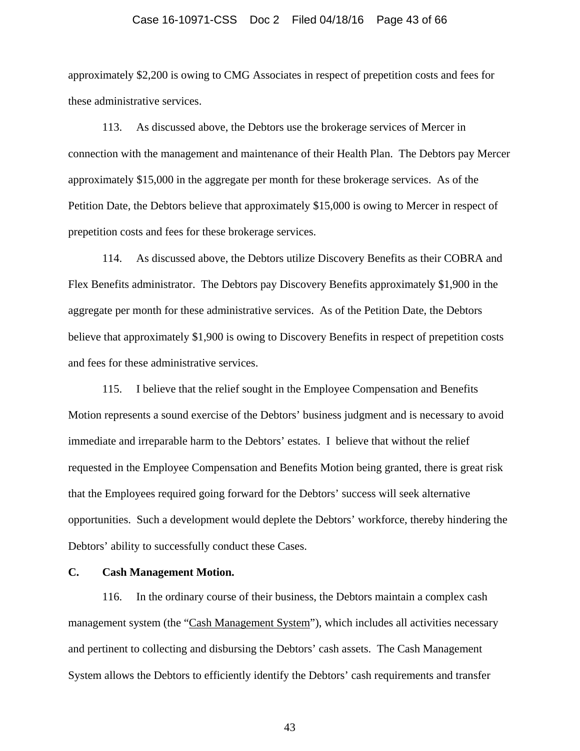#### Case 16-10971-CSS Doc 2 Filed 04/18/16 Page 43 of 66

approximately \$2,200 is owing to CMG Associates in respect of prepetition costs and fees for these administrative services.

113. As discussed above, the Debtors use the brokerage services of Mercer in connection with the management and maintenance of their Health Plan. The Debtors pay Mercer approximately \$15,000 in the aggregate per month for these brokerage services. As of the Petition Date, the Debtors believe that approximately \$15,000 is owing to Mercer in respect of prepetition costs and fees for these brokerage services.

114. As discussed above, the Debtors utilize Discovery Benefits as their COBRA and Flex Benefits administrator. The Debtors pay Discovery Benefits approximately \$1,900 in the aggregate per month for these administrative services. As of the Petition Date, the Debtors believe that approximately \$1,900 is owing to Discovery Benefits in respect of prepetition costs and fees for these administrative services.

115. I believe that the relief sought in the Employee Compensation and Benefits Motion represents a sound exercise of the Debtors' business judgment and is necessary to avoid immediate and irreparable harm to the Debtors' estates. I believe that without the relief requested in the Employee Compensation and Benefits Motion being granted, there is great risk that the Employees required going forward for the Debtors' success will seek alternative opportunities. Such a development would deplete the Debtors' workforce, thereby hindering the Debtors' ability to successfully conduct these Cases.

### **C. Cash Management Motion.**

116. In the ordinary course of their business, the Debtors maintain a complex cash management system (the "Cash Management System"), which includes all activities necessary and pertinent to collecting and disbursing the Debtors' cash assets. The Cash Management System allows the Debtors to efficiently identify the Debtors' cash requirements and transfer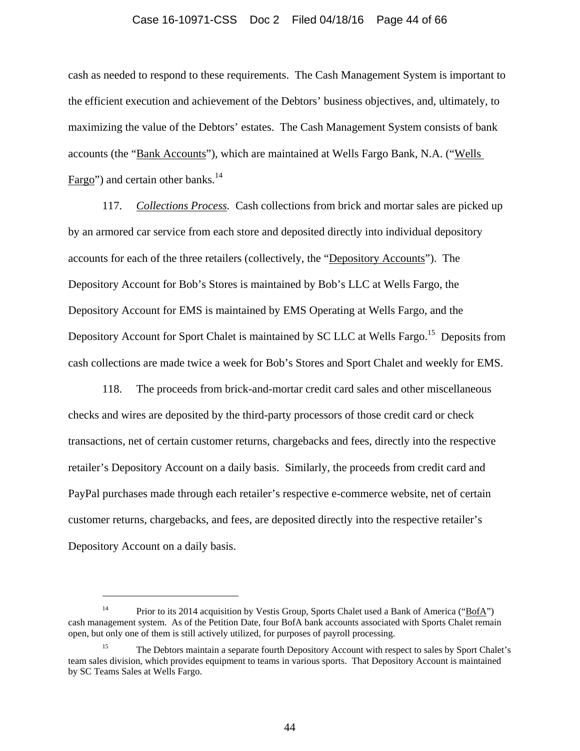#### Case 16-10971-CSS Doc 2 Filed 04/18/16 Page 44 of 66

cash as needed to respond to these requirements. The Cash Management System is important to the efficient execution and achievement of the Debtors' business objectives, and, ultimately, to maximizing the value of the Debtors' estates. The Cash Management System consists of bank accounts (the "Bank Accounts"), which are maintained at Wells Fargo Bank, N.A. ("Wells Fargo") and certain other banks. $14$ 

117. *Collections Process.* Cash collections from brick and mortar sales are picked up by an armored car service from each store and deposited directly into individual depository accounts for each of the three retailers (collectively, the "Depository Accounts"). The Depository Account for Bob's Stores is maintained by Bob's LLC at Wells Fargo, the Depository Account for EMS is maintained by EMS Operating at Wells Fargo, and the Depository Account for Sport Chalet is maintained by SC LLC at Wells Fargo.<sup>15</sup> Deposits from cash collections are made twice a week for Bob's Stores and Sport Chalet and weekly for EMS.

118. The proceeds from brick-and-mortar credit card sales and other miscellaneous checks and wires are deposited by the third-party processors of those credit card or check transactions, net of certain customer returns, chargebacks and fees, directly into the respective retailer's Depository Account on a daily basis. Similarly, the proceeds from credit card and PayPal purchases made through each retailer's respective e-commerce website, net of certain customer returns, chargebacks, and fees, are deposited directly into the respective retailer's Depository Account on a daily basis.

l

<sup>&</sup>lt;sup>14</sup> Prior to its 2014 acquisition by Vestis Group, Sports Chalet used a Bank of America ("BofA") cash management system. As of the Petition Date, four BofA bank accounts associated with Sports Chalet remain open, but only one of them is still actively utilized, for purposes of payroll processing.

<sup>15</sup> The Debtors maintain a separate fourth Depository Account with respect to sales by Sport Chalet's team sales division, which provides equipment to teams in various sports. That Depository Account is maintained by SC Teams Sales at Wells Fargo.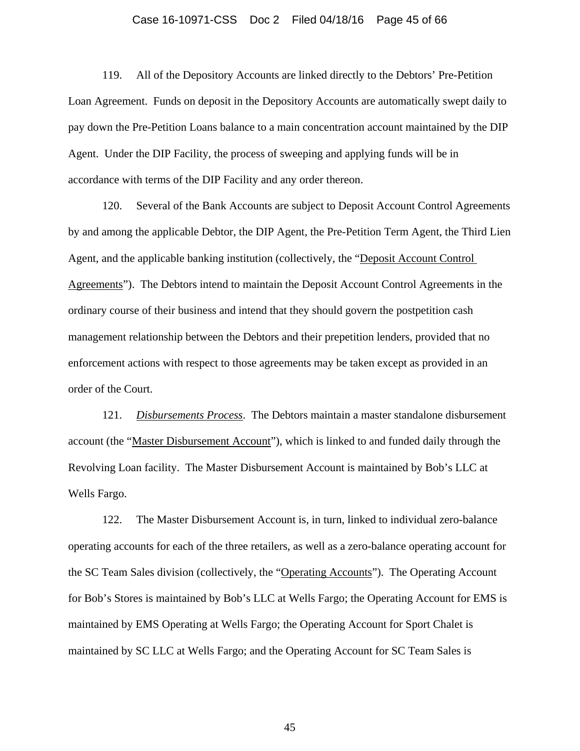#### Case 16-10971-CSS Doc 2 Filed 04/18/16 Page 45 of 66

119. All of the Depository Accounts are linked directly to the Debtors' Pre-Petition Loan Agreement. Funds on deposit in the Depository Accounts are automatically swept daily to pay down the Pre-Petition Loans balance to a main concentration account maintained by the DIP Agent. Under the DIP Facility, the process of sweeping and applying funds will be in accordance with terms of the DIP Facility and any order thereon.

120. Several of the Bank Accounts are subject to Deposit Account Control Agreements by and among the applicable Debtor, the DIP Agent, the Pre-Petition Term Agent, the Third Lien Agent, and the applicable banking institution (collectively, the "Deposit Account Control Agreements"). The Debtors intend to maintain the Deposit Account Control Agreements in the ordinary course of their business and intend that they should govern the postpetition cash management relationship between the Debtors and their prepetition lenders, provided that no enforcement actions with respect to those agreements may be taken except as provided in an order of the Court.

121. *Disbursements Process*. The Debtors maintain a master standalone disbursement account (the "Master Disbursement Account"), which is linked to and funded daily through the Revolving Loan facility. The Master Disbursement Account is maintained by Bob's LLC at Wells Fargo.

122. The Master Disbursement Account is, in turn, linked to individual zero-balance operating accounts for each of the three retailers, as well as a zero-balance operating account for the SC Team Sales division (collectively, the "Operating Accounts"). The Operating Account for Bob's Stores is maintained by Bob's LLC at Wells Fargo; the Operating Account for EMS is maintained by EMS Operating at Wells Fargo; the Operating Account for Sport Chalet is maintained by SC LLC at Wells Fargo; and the Operating Account for SC Team Sales is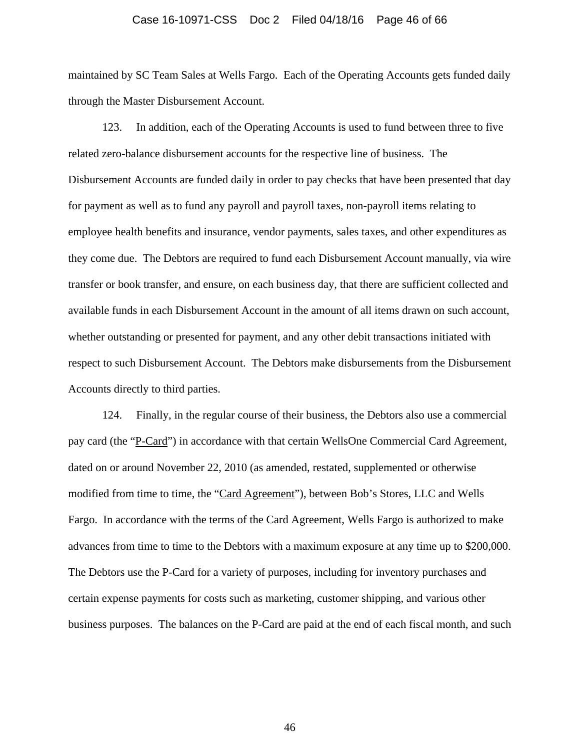#### Case 16-10971-CSS Doc 2 Filed 04/18/16 Page 46 of 66

maintained by SC Team Sales at Wells Fargo. Each of the Operating Accounts gets funded daily through the Master Disbursement Account.

123. In addition, each of the Operating Accounts is used to fund between three to five related zero-balance disbursement accounts for the respective line of business. The Disbursement Accounts are funded daily in order to pay checks that have been presented that day for payment as well as to fund any payroll and payroll taxes, non-payroll items relating to employee health benefits and insurance, vendor payments, sales taxes, and other expenditures as they come due. The Debtors are required to fund each Disbursement Account manually, via wire transfer or book transfer, and ensure, on each business day, that there are sufficient collected and available funds in each Disbursement Account in the amount of all items drawn on such account, whether outstanding or presented for payment, and any other debit transactions initiated with respect to such Disbursement Account. The Debtors make disbursements from the Disbursement Accounts directly to third parties.

124. Finally, in the regular course of their business, the Debtors also use a commercial pay card (the "P-Card") in accordance with that certain WellsOne Commercial Card Agreement, dated on or around November 22, 2010 (as amended, restated, supplemented or otherwise modified from time to time, the "Card Agreement"), between Bob's Stores, LLC and Wells Fargo. In accordance with the terms of the Card Agreement, Wells Fargo is authorized to make advances from time to time to the Debtors with a maximum exposure at any time up to \$200,000. The Debtors use the P-Card for a variety of purposes, including for inventory purchases and certain expense payments for costs such as marketing, customer shipping, and various other business purposes. The balances on the P-Card are paid at the end of each fiscal month, and such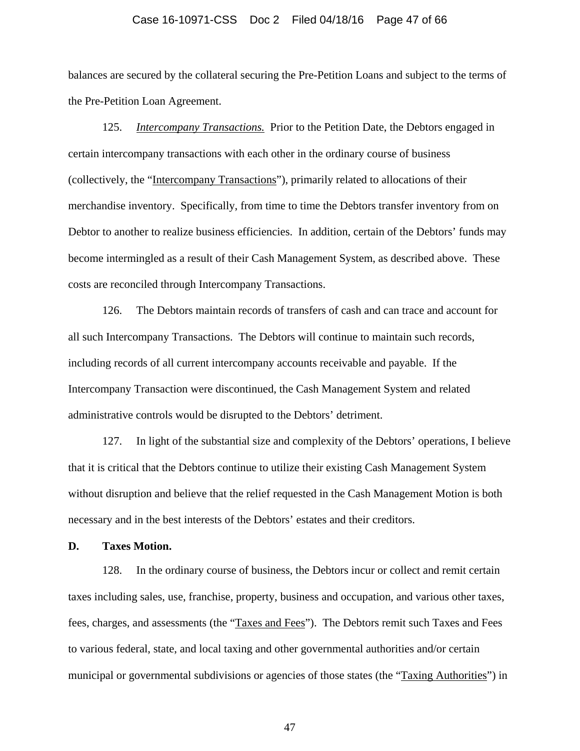### Case 16-10971-CSS Doc 2 Filed 04/18/16 Page 47 of 66

balances are secured by the collateral securing the Pre-Petition Loans and subject to the terms of the Pre-Petition Loan Agreement.

125. *Intercompany Transactions.* Prior to the Petition Date, the Debtors engaged in certain intercompany transactions with each other in the ordinary course of business (collectively, the "Intercompany Transactions"), primarily related to allocations of their merchandise inventory. Specifically, from time to time the Debtors transfer inventory from on Debtor to another to realize business efficiencies. In addition, certain of the Debtors' funds may become intermingled as a result of their Cash Management System, as described above. These costs are reconciled through Intercompany Transactions.

126. The Debtors maintain records of transfers of cash and can trace and account for all such Intercompany Transactions. The Debtors will continue to maintain such records, including records of all current intercompany accounts receivable and payable. If the Intercompany Transaction were discontinued, the Cash Management System and related administrative controls would be disrupted to the Debtors' detriment.

127. In light of the substantial size and complexity of the Debtors' operations, I believe that it is critical that the Debtors continue to utilize their existing Cash Management System without disruption and believe that the relief requested in the Cash Management Motion is both necessary and in the best interests of the Debtors' estates and their creditors.

### **D. Taxes Motion.**

128. In the ordinary course of business, the Debtors incur or collect and remit certain taxes including sales, use, franchise, property, business and occupation, and various other taxes, fees, charges, and assessments (the "Taxes and Fees"). The Debtors remit such Taxes and Fees to various federal, state, and local taxing and other governmental authorities and/or certain municipal or governmental subdivisions or agencies of those states (the "Taxing Authorities") in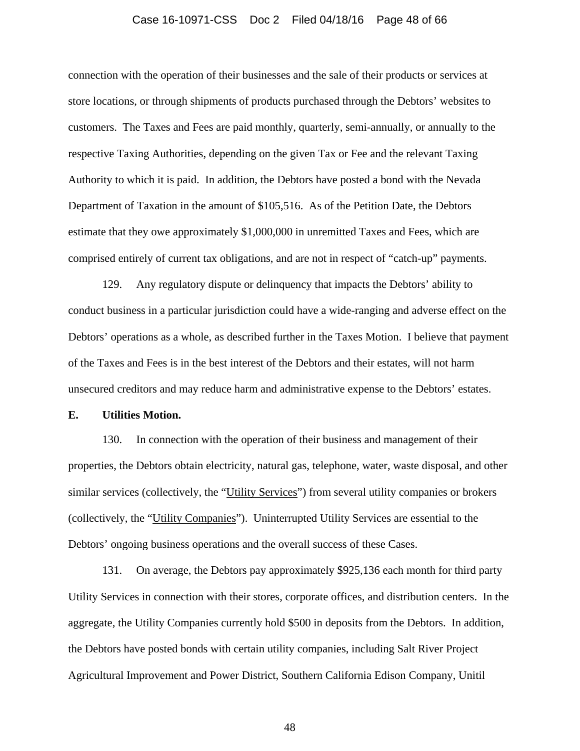### Case 16-10971-CSS Doc 2 Filed 04/18/16 Page 48 of 66

connection with the operation of their businesses and the sale of their products or services at store locations, or through shipments of products purchased through the Debtors' websites to customers. The Taxes and Fees are paid monthly, quarterly, semi-annually, or annually to the respective Taxing Authorities, depending on the given Tax or Fee and the relevant Taxing Authority to which it is paid. In addition, the Debtors have posted a bond with the Nevada Department of Taxation in the amount of \$105,516. As of the Petition Date, the Debtors estimate that they owe approximately \$1,000,000 in unremitted Taxes and Fees, which are comprised entirely of current tax obligations, and are not in respect of "catch-up" payments.

129. Any regulatory dispute or delinquency that impacts the Debtors' ability to conduct business in a particular jurisdiction could have a wide-ranging and adverse effect on the Debtors' operations as a whole, as described further in the Taxes Motion. I believe that payment of the Taxes and Fees is in the best interest of the Debtors and their estates, will not harm unsecured creditors and may reduce harm and administrative expense to the Debtors' estates.

# **E. Utilities Motion.**

130. In connection with the operation of their business and management of their properties, the Debtors obtain electricity, natural gas, telephone, water, waste disposal, and other similar services (collectively, the "Utility Services") from several utility companies or brokers (collectively, the "Utility Companies"). Uninterrupted Utility Services are essential to the Debtors' ongoing business operations and the overall success of these Cases.

131. On average, the Debtors pay approximately \$925,136 each month for third party Utility Services in connection with their stores, corporate offices, and distribution centers. In the aggregate, the Utility Companies currently hold \$500 in deposits from the Debtors. In addition, the Debtors have posted bonds with certain utility companies, including Salt River Project Agricultural Improvement and Power District, Southern California Edison Company, Unitil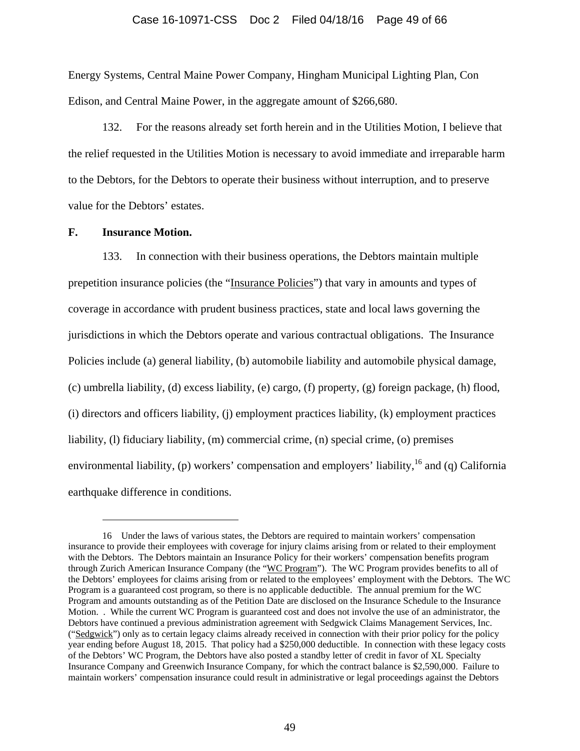### Case 16-10971-CSS Doc 2 Filed 04/18/16 Page 49 of 66

Energy Systems, Central Maine Power Company, Hingham Municipal Lighting Plan, Con Edison, and Central Maine Power, in the aggregate amount of \$266,680.

132. For the reasons already set forth herein and in the Utilities Motion, I believe that the relief requested in the Utilities Motion is necessary to avoid immediate and irreparable harm to the Debtors, for the Debtors to operate their business without interruption, and to preserve value for the Debtors' estates.

### **F. Insurance Motion.**

 $\overline{\phantom{a}}$ 

133. In connection with their business operations, the Debtors maintain multiple prepetition insurance policies (the "Insurance Policies") that vary in amounts and types of coverage in accordance with prudent business practices, state and local laws governing the jurisdictions in which the Debtors operate and various contractual obligations. The Insurance Policies include (a) general liability, (b) automobile liability and automobile physical damage, (c) umbrella liability, (d) excess liability, (e) cargo, (f) property, (g) foreign package, (h) flood, (i) directors and officers liability, (j) employment practices liability, (k) employment practices liability, (l) fiduciary liability, (m) commercial crime, (n) special crime, (o) premises environmental liability, (p) workers' compensation and employers' liability,<sup>16</sup> and (q) California earthquake difference in conditions.

<sup>16</sup> Under the laws of various states, the Debtors are required to maintain workers' compensation insurance to provide their employees with coverage for injury claims arising from or related to their employment with the Debtors. The Debtors maintain an Insurance Policy for their workers' compensation benefits program through Zurich American Insurance Company (the "WC Program"). The WC Program provides benefits to all of the Debtors' employees for claims arising from or related to the employees' employment with the Debtors. The WC Program is a guaranteed cost program, so there is no applicable deductible. The annual premium for the WC Program and amounts outstanding as of the Petition Date are disclosed on the Insurance Schedule to the Insurance Motion. . While the current WC Program is guaranteed cost and does not involve the use of an administrator, the Debtors have continued a previous administration agreement with Sedgwick Claims Management Services, Inc. ("Sedgwick") only as to certain legacy claims already received in connection with their prior policy for the policy year ending before August 18, 2015. That policy had a \$250,000 deductible. In connection with these legacy costs of the Debtors' WC Program, the Debtors have also posted a standby letter of credit in favor of XL Specialty Insurance Company and Greenwich Insurance Company, for which the contract balance is \$2,590,000. Failure to maintain workers' compensation insurance could result in administrative or legal proceedings against the Debtors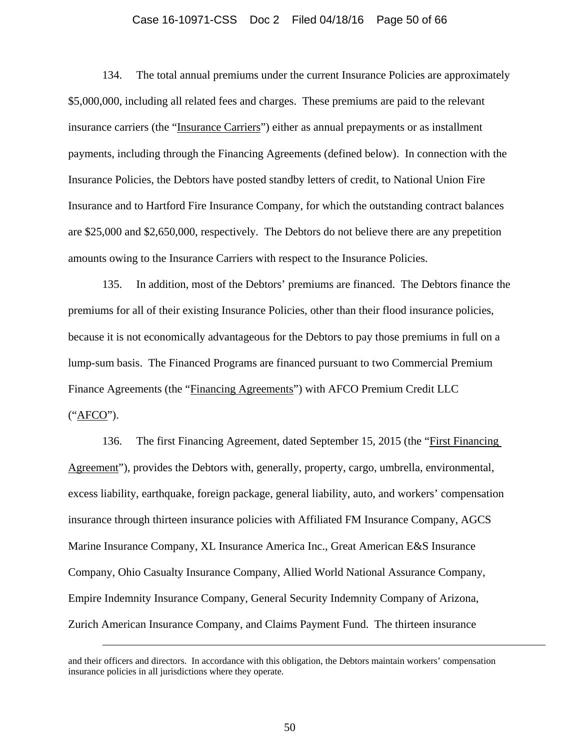#### Case 16-10971-CSS Doc 2 Filed 04/18/16 Page 50 of 66

134. The total annual premiums under the current Insurance Policies are approximately \$5,000,000, including all related fees and charges. These premiums are paid to the relevant insurance carriers (the "Insurance Carriers") either as annual prepayments or as installment payments, including through the Financing Agreements (defined below). In connection with the Insurance Policies, the Debtors have posted standby letters of credit, to National Union Fire Insurance and to Hartford Fire Insurance Company, for which the outstanding contract balances are \$25,000 and \$2,650,000, respectively. The Debtors do not believe there are any prepetition amounts owing to the Insurance Carriers with respect to the Insurance Policies.

135. In addition, most of the Debtors' premiums are financed. The Debtors finance the premiums for all of their existing Insurance Policies, other than their flood insurance policies, because it is not economically advantageous for the Debtors to pay those premiums in full on a lump-sum basis. The Financed Programs are financed pursuant to two Commercial Premium Finance Agreements (the "Financing Agreements") with AFCO Premium Credit LLC ("AFCO").

136. The first Financing Agreement, dated September 15, 2015 (the "First Financing Agreement"), provides the Debtors with, generally, property, cargo, umbrella, environmental, excess liability, earthquake, foreign package, general liability, auto, and workers' compensation insurance through thirteen insurance policies with Affiliated FM Insurance Company, AGCS Marine Insurance Company, XL Insurance America Inc., Great American E&S Insurance Company, Ohio Casualty Insurance Company, Allied World National Assurance Company, Empire Indemnity Insurance Company, General Security Indemnity Company of Arizona, Zurich American Insurance Company, and Claims Payment Fund. The thirteen insurance

 $\overline{\phantom{a}}$ 

and their officers and directors. In accordance with this obligation, the Debtors maintain workers' compensation insurance policies in all jurisdictions where they operate.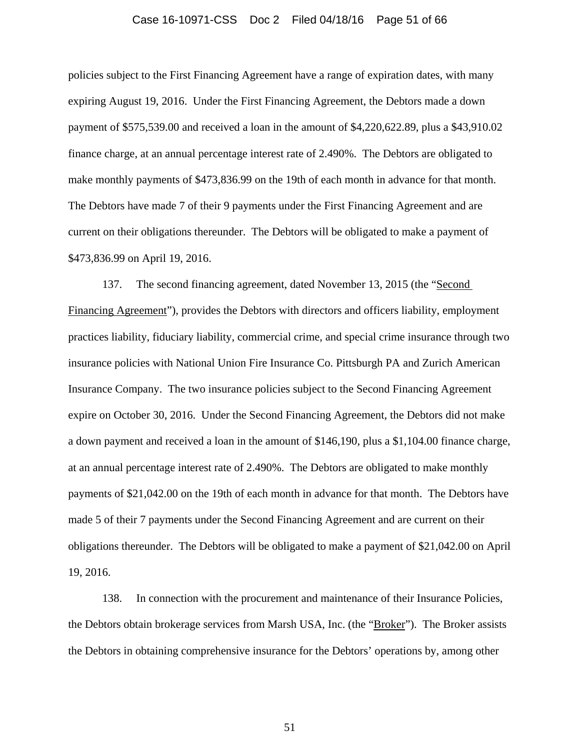#### Case 16-10971-CSS Doc 2 Filed 04/18/16 Page 51 of 66

policies subject to the First Financing Agreement have a range of expiration dates, with many expiring August 19, 2016. Under the First Financing Agreement, the Debtors made a down payment of \$575,539.00 and received a loan in the amount of \$4,220,622.89, plus a \$43,910.02 finance charge, at an annual percentage interest rate of 2.490%. The Debtors are obligated to make monthly payments of \$473,836.99 on the 19th of each month in advance for that month. The Debtors have made 7 of their 9 payments under the First Financing Agreement and are current on their obligations thereunder. The Debtors will be obligated to make a payment of \$473,836.99 on April 19, 2016.

137. The second financing agreement, dated November 13, 2015 (the "Second Financing Agreement"), provides the Debtors with directors and officers liability, employment practices liability, fiduciary liability, commercial crime, and special crime insurance through two insurance policies with National Union Fire Insurance Co. Pittsburgh PA and Zurich American Insurance Company. The two insurance policies subject to the Second Financing Agreement expire on October 30, 2016. Under the Second Financing Agreement, the Debtors did not make a down payment and received a loan in the amount of \$146,190, plus a \$1,104.00 finance charge, at an annual percentage interest rate of 2.490%. The Debtors are obligated to make monthly payments of \$21,042.00 on the 19th of each month in advance for that month. The Debtors have made 5 of their 7 payments under the Second Financing Agreement and are current on their obligations thereunder. The Debtors will be obligated to make a payment of \$21,042.00 on April 19, 2016.

138. In connection with the procurement and maintenance of their Insurance Policies, the Debtors obtain brokerage services from Marsh USA, Inc. (the "Broker"). The Broker assists the Debtors in obtaining comprehensive insurance for the Debtors' operations by, among other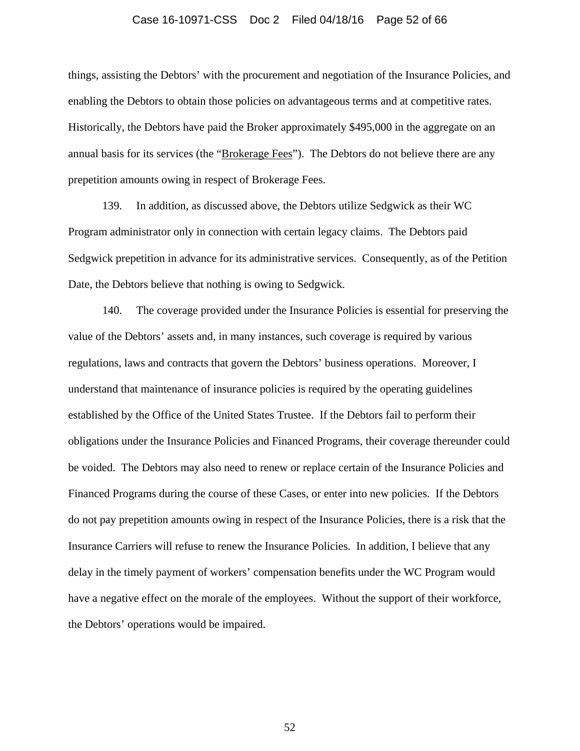#### Case 16-10971-CSS Doc 2 Filed 04/18/16 Page 52 of 66

things, assisting the Debtors' with the procurement and negotiation of the Insurance Policies, and enabling the Debtors to obtain those policies on advantageous terms and at competitive rates. Historically, the Debtors have paid the Broker approximately \$495,000 in the aggregate on an annual basis for its services (the "Brokerage Fees"). The Debtors do not believe there are any prepetition amounts owing in respect of Brokerage Fees.

139. In addition, as discussed above, the Debtors utilize Sedgwick as their WC Program administrator only in connection with certain legacy claims. The Debtors paid Sedgwick prepetition in advance for its administrative services. Consequently, as of the Petition Date, the Debtors believe that nothing is owing to Sedgwick.

140. The coverage provided under the Insurance Policies is essential for preserving the value of the Debtors' assets and, in many instances, such coverage is required by various regulations, laws and contracts that govern the Debtors' business operations. Moreover, I understand that maintenance of insurance policies is required by the operating guidelines established by the Office of the United States Trustee. If the Debtors fail to perform their obligations under the Insurance Policies and Financed Programs, their coverage thereunder could be voided. The Debtors may also need to renew or replace certain of the Insurance Policies and Financed Programs during the course of these Cases, or enter into new policies. If the Debtors do not pay prepetition amounts owing in respect of the Insurance Policies, there is a risk that the Insurance Carriers will refuse to renew the Insurance Policies. In addition, I believe that any delay in the timely payment of workers' compensation benefits under the WC Program would have a negative effect on the morale of the employees. Without the support of their workforce, the Debtors' operations would be impaired.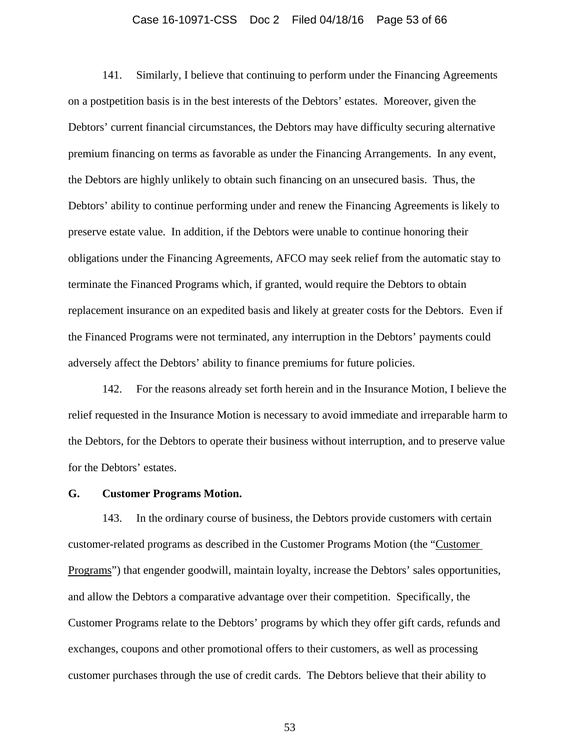#### Case 16-10971-CSS Doc 2 Filed 04/18/16 Page 53 of 66

141. Similarly, I believe that continuing to perform under the Financing Agreements on a postpetition basis is in the best interests of the Debtors' estates. Moreover, given the Debtors' current financial circumstances, the Debtors may have difficulty securing alternative premium financing on terms as favorable as under the Financing Arrangements. In any event, the Debtors are highly unlikely to obtain such financing on an unsecured basis. Thus, the Debtors' ability to continue performing under and renew the Financing Agreements is likely to preserve estate value. In addition, if the Debtors were unable to continue honoring their obligations under the Financing Agreements, AFCO may seek relief from the automatic stay to terminate the Financed Programs which, if granted, would require the Debtors to obtain replacement insurance on an expedited basis and likely at greater costs for the Debtors. Even if the Financed Programs were not terminated, any interruption in the Debtors' payments could adversely affect the Debtors' ability to finance premiums for future policies.

142. For the reasons already set forth herein and in the Insurance Motion, I believe the relief requested in the Insurance Motion is necessary to avoid immediate and irreparable harm to the Debtors, for the Debtors to operate their business without interruption, and to preserve value for the Debtors' estates.

# **G. Customer Programs Motion.**

143. In the ordinary course of business, the Debtors provide customers with certain customer-related programs as described in the Customer Programs Motion (the "Customer Programs") that engender goodwill, maintain loyalty, increase the Debtors' sales opportunities, and allow the Debtors a comparative advantage over their competition. Specifically, the Customer Programs relate to the Debtors' programs by which they offer gift cards, refunds and exchanges, coupons and other promotional offers to their customers, as well as processing customer purchases through the use of credit cards. The Debtors believe that their ability to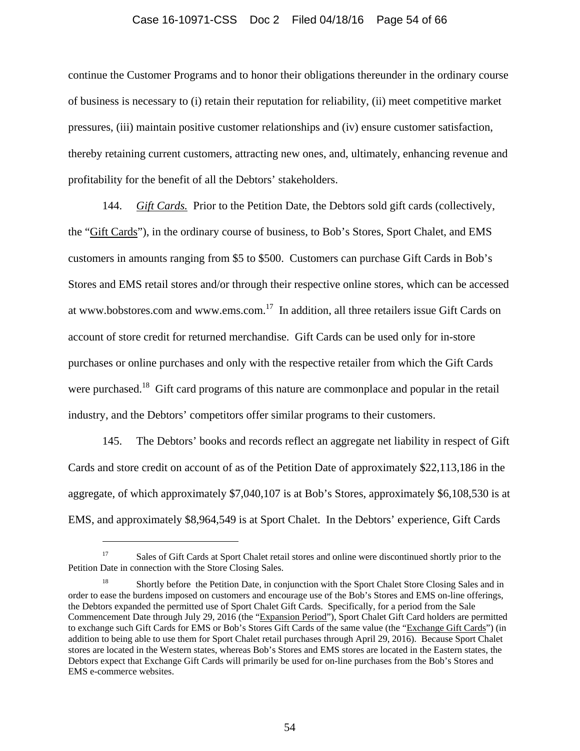### Case 16-10971-CSS Doc 2 Filed 04/18/16 Page 54 of 66

continue the Customer Programs and to honor their obligations thereunder in the ordinary course of business is necessary to (i) retain their reputation for reliability, (ii) meet competitive market pressures, (iii) maintain positive customer relationships and (iv) ensure customer satisfaction, thereby retaining current customers, attracting new ones, and, ultimately, enhancing revenue and profitability for the benefit of all the Debtors' stakeholders.

144. *Gift Cards.* Prior to the Petition Date, the Debtors sold gift cards (collectively, the "Gift Cards"), in the ordinary course of business, to Bob's Stores, Sport Chalet, and EMS customers in amounts ranging from \$5 to \$500. Customers can purchase Gift Cards in Bob's Stores and EMS retail stores and/or through their respective online stores, which can be accessed at www.bobstores.com and www.ems.com.17 In addition, all three retailers issue Gift Cards on account of store credit for returned merchandise. Gift Cards can be used only for in-store purchases or online purchases and only with the respective retailer from which the Gift Cards were purchased.<sup>18</sup> Gift card programs of this nature are commonplace and popular in the retail industry, and the Debtors' competitors offer similar programs to their customers.

145. The Debtors' books and records reflect an aggregate net liability in respect of Gift Cards and store credit on account of as of the Petition Date of approximately \$22,113,186 in the aggregate, of which approximately \$7,040,107 is at Bob's Stores, approximately \$6,108,530 is at EMS, and approximately \$8,964,549 is at Sport Chalet. In the Debtors' experience, Gift Cards

 $\overline{\phantom{a}}$ 

<sup>&</sup>lt;sup>17</sup> Sales of Gift Cards at Sport Chalet retail stores and online were discontinued shortly prior to the Petition Date in connection with the Store Closing Sales.

<sup>&</sup>lt;sup>18</sup> Shortly before the Petition Date, in conjunction with the Sport Chalet Store Closing Sales and in order to ease the burdens imposed on customers and encourage use of the Bob's Stores and EMS on-line offerings, the Debtors expanded the permitted use of Sport Chalet Gift Cards. Specifically, for a period from the Sale Commencement Date through July 29, 2016 (the "Expansion Period"), Sport Chalet Gift Card holders are permitted to exchange such Gift Cards for EMS or Bob's Stores Gift Cards of the same value (the "Exchange Gift Cards") (in addition to being able to use them for Sport Chalet retail purchases through April 29, 2016). Because Sport Chalet stores are located in the Western states, whereas Bob's Stores and EMS stores are located in the Eastern states, the Debtors expect that Exchange Gift Cards will primarily be used for on-line purchases from the Bob's Stores and EMS e-commerce websites.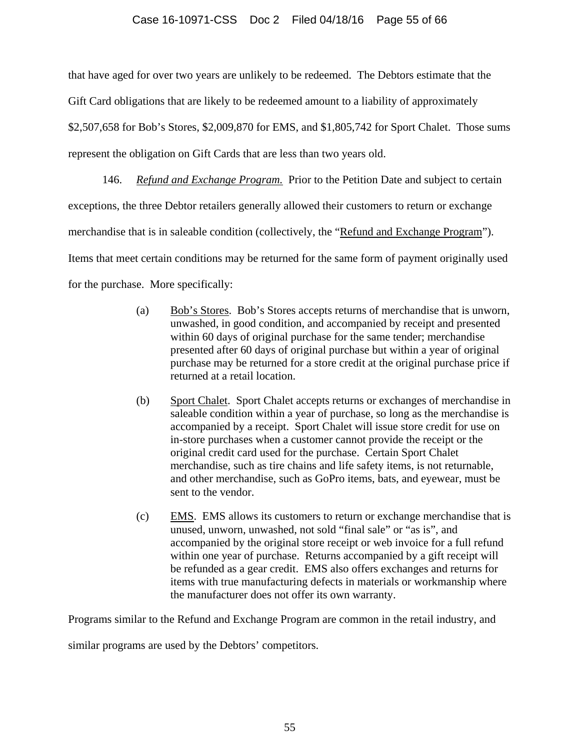# Case 16-10971-CSS Doc 2 Filed 04/18/16 Page 55 of 66

that have aged for over two years are unlikely to be redeemed. The Debtors estimate that the Gift Card obligations that are likely to be redeemed amount to a liability of approximately \$2,507,658 for Bob's Stores, \$2,009,870 for EMS, and \$1,805,742 for Sport Chalet. Those sums represent the obligation on Gift Cards that are less than two years old.

146. *Refund and Exchange Program.* Prior to the Petition Date and subject to certain exceptions, the three Debtor retailers generally allowed their customers to return or exchange merchandise that is in saleable condition (collectively, the "Refund and Exchange Program"). Items that meet certain conditions may be returned for the same form of payment originally used for the purchase. More specifically:

- (a) Bob's Stores. Bob's Stores accepts returns of merchandise that is unworn, unwashed, in good condition, and accompanied by receipt and presented within 60 days of original purchase for the same tender; merchandise presented after 60 days of original purchase but within a year of original purchase may be returned for a store credit at the original purchase price if returned at a retail location.
- (b) Sport Chalet. Sport Chalet accepts returns or exchanges of merchandise in saleable condition within a year of purchase, so long as the merchandise is accompanied by a receipt. Sport Chalet will issue store credit for use on in-store purchases when a customer cannot provide the receipt or the original credit card used for the purchase. Certain Sport Chalet merchandise, such as tire chains and life safety items, is not returnable, and other merchandise, such as GoPro items, bats, and eyewear, must be sent to the vendor.
- (c) EMS. EMS allows its customers to return or exchange merchandise that is unused, unworn, unwashed, not sold "final sale" or "as is", and accompanied by the original store receipt or web invoice for a full refund within one year of purchase. Returns accompanied by a gift receipt will be refunded as a gear credit. EMS also offers exchanges and returns for items with true manufacturing defects in materials or workmanship where the manufacturer does not offer its own warranty.

Programs similar to the Refund and Exchange Program are common in the retail industry, and

similar programs are used by the Debtors' competitors.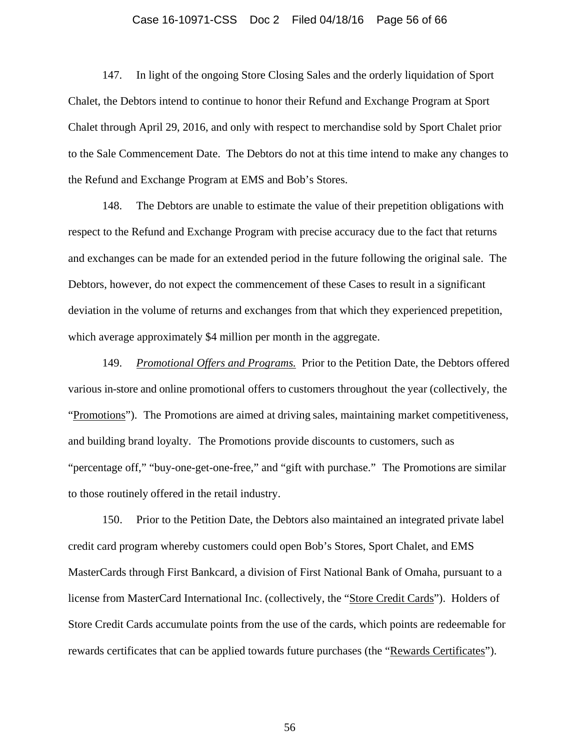#### Case 16-10971-CSS Doc 2 Filed 04/18/16 Page 56 of 66

147. In light of the ongoing Store Closing Sales and the orderly liquidation of Sport Chalet, the Debtors intend to continue to honor their Refund and Exchange Program at Sport Chalet through April 29, 2016, and only with respect to merchandise sold by Sport Chalet prior to the Sale Commencement Date. The Debtors do not at this time intend to make any changes to the Refund and Exchange Program at EMS and Bob's Stores.

148. The Debtors are unable to estimate the value of their prepetition obligations with respect to the Refund and Exchange Program with precise accuracy due to the fact that returns and exchanges can be made for an extended period in the future following the original sale. The Debtors, however, do not expect the commencement of these Cases to result in a significant deviation in the volume of returns and exchanges from that which they experienced prepetition, which average approximately \$4 million per month in the aggregate.

149. *Promotional Offers and Programs.* Prior to the Petition Date, the Debtors offered various in-store and online promotional offers to customers throughout the year (collectively, the "Promotions"). The Promotions are aimed at driving sales, maintaining market competitiveness, and building brand loyalty. The Promotions provide discounts to customers, such as "percentage off," "buy-one-get-one-free," and "gift with purchase." The Promotions are similar to those routinely offered in the retail industry.

150. Prior to the Petition Date, the Debtors also maintained an integrated private label credit card program whereby customers could open Bob's Stores, Sport Chalet, and EMS MasterCards through First Bankcard, a division of First National Bank of Omaha, pursuant to a license from MasterCard International Inc. (collectively, the "Store Credit Cards"). Holders of Store Credit Cards accumulate points from the use of the cards, which points are redeemable for rewards certificates that can be applied towards future purchases (the "Rewards Certificates").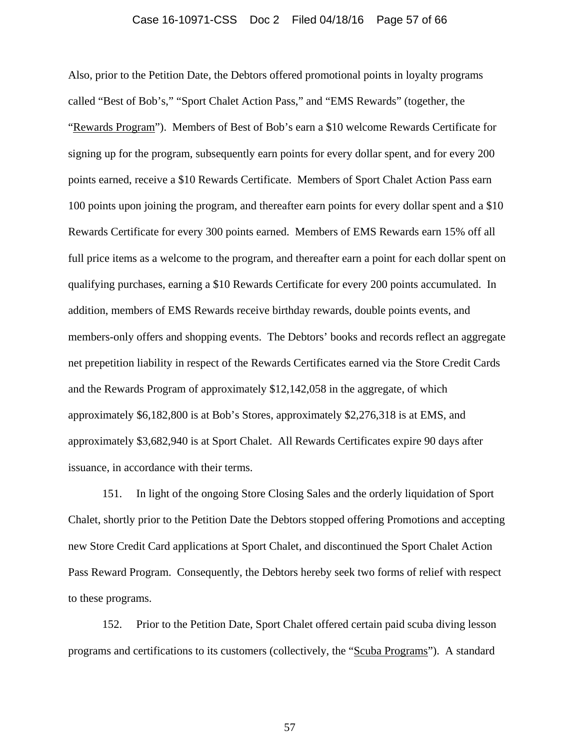#### Case 16-10971-CSS Doc 2 Filed 04/18/16 Page 57 of 66

Also, prior to the Petition Date, the Debtors offered promotional points in loyalty programs called "Best of Bob's," "Sport Chalet Action Pass," and "EMS Rewards" (together, the "Rewards Program"). Members of Best of Bob's earn a \$10 welcome Rewards Certificate for signing up for the program, subsequently earn points for every dollar spent, and for every 200 points earned, receive a \$10 Rewards Certificate. Members of Sport Chalet Action Pass earn 100 points upon joining the program, and thereafter earn points for every dollar spent and a \$10 Rewards Certificate for every 300 points earned. Members of EMS Rewards earn 15% off all full price items as a welcome to the program, and thereafter earn a point for each dollar spent on qualifying purchases, earning a \$10 Rewards Certificate for every 200 points accumulated. In addition, members of EMS Rewards receive birthday rewards, double points events, and members-only offers and shopping events. The Debtors' books and records reflect an aggregate net prepetition liability in respect of the Rewards Certificates earned via the Store Credit Cards and the Rewards Program of approximately \$12,142,058 in the aggregate, of which approximately \$6,182,800 is at Bob's Stores, approximately \$2,276,318 is at EMS, and approximately \$3,682,940 is at Sport Chalet. All Rewards Certificates expire 90 days after issuance, in accordance with their terms.

151. In light of the ongoing Store Closing Sales and the orderly liquidation of Sport Chalet, shortly prior to the Petition Date the Debtors stopped offering Promotions and accepting new Store Credit Card applications at Sport Chalet, and discontinued the Sport Chalet Action Pass Reward Program. Consequently, the Debtors hereby seek two forms of relief with respect to these programs.

152. Prior to the Petition Date, Sport Chalet offered certain paid scuba diving lesson programs and certifications to its customers (collectively, the "Scuba Programs"). A standard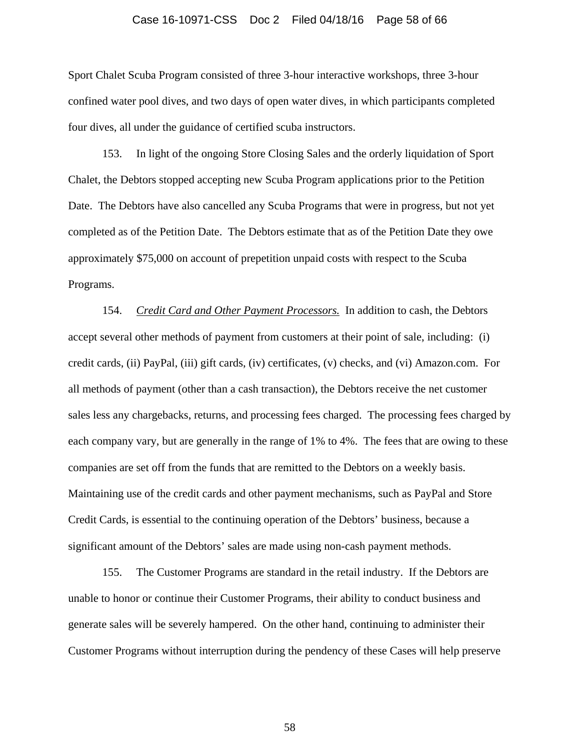#### Case 16-10971-CSS Doc 2 Filed 04/18/16 Page 58 of 66

Sport Chalet Scuba Program consisted of three 3-hour interactive workshops, three 3-hour confined water pool dives, and two days of open water dives, in which participants completed four dives, all under the guidance of certified scuba instructors.

153. In light of the ongoing Store Closing Sales and the orderly liquidation of Sport Chalet, the Debtors stopped accepting new Scuba Program applications prior to the Petition Date. The Debtors have also cancelled any Scuba Programs that were in progress, but not yet completed as of the Petition Date. The Debtors estimate that as of the Petition Date they owe approximately \$75,000 on account of prepetition unpaid costs with respect to the Scuba Programs.

154. *Credit Card and Other Payment Processors.* In addition to cash, the Debtors accept several other methods of payment from customers at their point of sale, including: (i) credit cards, (ii) PayPal, (iii) gift cards, (iv) certificates, (v) checks, and (vi) Amazon.com. For all methods of payment (other than a cash transaction), the Debtors receive the net customer sales less any chargebacks, returns, and processing fees charged. The processing fees charged by each company vary, but are generally in the range of 1% to 4%. The fees that are owing to these companies are set off from the funds that are remitted to the Debtors on a weekly basis. Maintaining use of the credit cards and other payment mechanisms, such as PayPal and Store Credit Cards, is essential to the continuing operation of the Debtors' business, because a significant amount of the Debtors' sales are made using non-cash payment methods.

155. The Customer Programs are standard in the retail industry. If the Debtors are unable to honor or continue their Customer Programs, their ability to conduct business and generate sales will be severely hampered. On the other hand, continuing to administer their Customer Programs without interruption during the pendency of these Cases will help preserve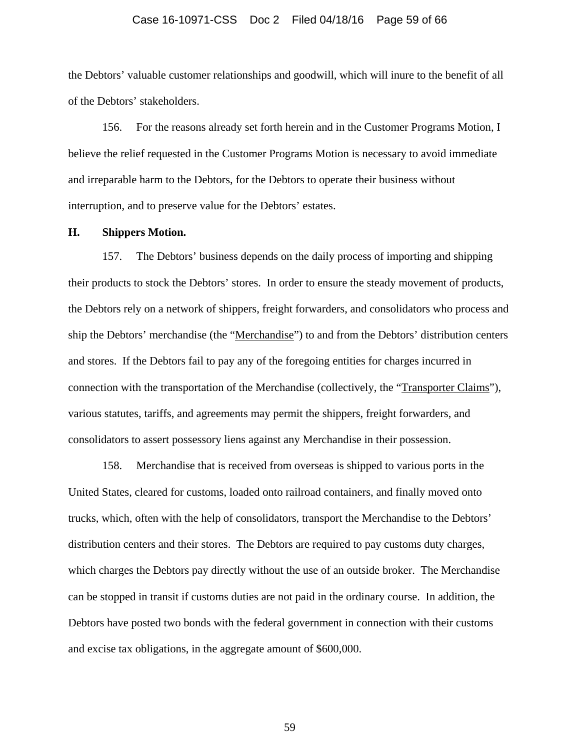#### Case 16-10971-CSS Doc 2 Filed 04/18/16 Page 59 of 66

the Debtors' valuable customer relationships and goodwill, which will inure to the benefit of all of the Debtors' stakeholders.

156. For the reasons already set forth herein and in the Customer Programs Motion, I believe the relief requested in the Customer Programs Motion is necessary to avoid immediate and irreparable harm to the Debtors, for the Debtors to operate their business without interruption, and to preserve value for the Debtors' estates.

### **H. Shippers Motion.**

157. The Debtors' business depends on the daily process of importing and shipping their products to stock the Debtors' stores. In order to ensure the steady movement of products, the Debtors rely on a network of shippers, freight forwarders, and consolidators who process and ship the Debtors' merchandise (the "Merchandise") to and from the Debtors' distribution centers and stores. If the Debtors fail to pay any of the foregoing entities for charges incurred in connection with the transportation of the Merchandise (collectively, the "Transporter Claims"), various statutes, tariffs, and agreements may permit the shippers, freight forwarders, and consolidators to assert possessory liens against any Merchandise in their possession.

158. Merchandise that is received from overseas is shipped to various ports in the United States, cleared for customs, loaded onto railroad containers, and finally moved onto trucks, which, often with the help of consolidators, transport the Merchandise to the Debtors' distribution centers and their stores. The Debtors are required to pay customs duty charges, which charges the Debtors pay directly without the use of an outside broker. The Merchandise can be stopped in transit if customs duties are not paid in the ordinary course. In addition, the Debtors have posted two bonds with the federal government in connection with their customs and excise tax obligations, in the aggregate amount of \$600,000.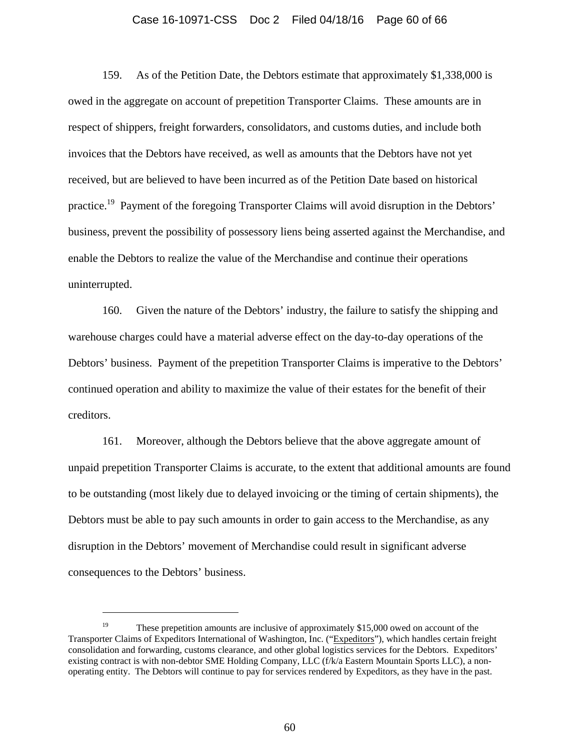#### Case 16-10971-CSS Doc 2 Filed 04/18/16 Page 60 of 66

159. As of the Petition Date, the Debtors estimate that approximately \$1,338,000 is owed in the aggregate on account of prepetition Transporter Claims. These amounts are in respect of shippers, freight forwarders, consolidators, and customs duties, and include both invoices that the Debtors have received, as well as amounts that the Debtors have not yet received, but are believed to have been incurred as of the Petition Date based on historical practice.<sup>19</sup> Payment of the foregoing Transporter Claims will avoid disruption in the Debtors' business, prevent the possibility of possessory liens being asserted against the Merchandise, and enable the Debtors to realize the value of the Merchandise and continue their operations uninterrupted.

160. Given the nature of the Debtors' industry, the failure to satisfy the shipping and warehouse charges could have a material adverse effect on the day-to-day operations of the Debtors' business. Payment of the prepetition Transporter Claims is imperative to the Debtors' continued operation and ability to maximize the value of their estates for the benefit of their creditors.

161. Moreover, although the Debtors believe that the above aggregate amount of unpaid prepetition Transporter Claims is accurate, to the extent that additional amounts are found to be outstanding (most likely due to delayed invoicing or the timing of certain shipments), the Debtors must be able to pay such amounts in order to gain access to the Merchandise, as any disruption in the Debtors' movement of Merchandise could result in significant adverse consequences to the Debtors' business.

 $\overline{\phantom{a}}$ 

<sup>&</sup>lt;sup>19</sup> These prepetition amounts are inclusive of approximately \$15,000 owed on account of the Transporter Claims of Expeditors International of Washington, Inc. ("Expeditors"), which handles certain freight consolidation and forwarding, customs clearance, and other global logistics services for the Debtors. Expeditors' existing contract is with non-debtor SME Holding Company, LLC (f/k/a Eastern Mountain Sports LLC), a nonoperating entity. The Debtors will continue to pay for services rendered by Expeditors, as they have in the past.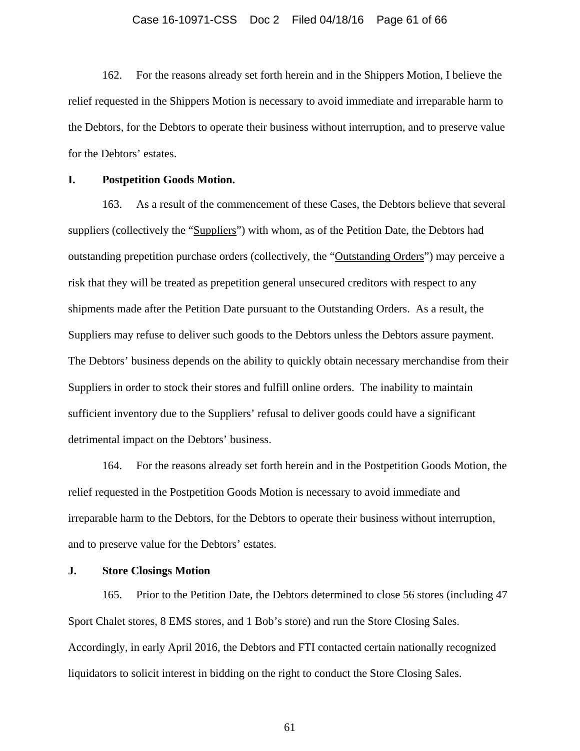#### Case 16-10971-CSS Doc 2 Filed 04/18/16 Page 61 of 66

162. For the reasons already set forth herein and in the Shippers Motion, I believe the relief requested in the Shippers Motion is necessary to avoid immediate and irreparable harm to the Debtors, for the Debtors to operate their business without interruption, and to preserve value for the Debtors' estates.

# **I. Postpetition Goods Motion.**

163. As a result of the commencement of these Cases, the Debtors believe that several suppliers (collectively the "Suppliers") with whom, as of the Petition Date, the Debtors had outstanding prepetition purchase orders (collectively, the "Outstanding Orders") may perceive a risk that they will be treated as prepetition general unsecured creditors with respect to any shipments made after the Petition Date pursuant to the Outstanding Orders. As a result, the Suppliers may refuse to deliver such goods to the Debtors unless the Debtors assure payment. The Debtors' business depends on the ability to quickly obtain necessary merchandise from their Suppliers in order to stock their stores and fulfill online orders. The inability to maintain sufficient inventory due to the Suppliers' refusal to deliver goods could have a significant detrimental impact on the Debtors' business.

164. For the reasons already set forth herein and in the Postpetition Goods Motion, the relief requested in the Postpetition Goods Motion is necessary to avoid immediate and irreparable harm to the Debtors, for the Debtors to operate their business without interruption, and to preserve value for the Debtors' estates.

# **J. Store Closings Motion**

165. Prior to the Petition Date, the Debtors determined to close 56 stores (including 47 Sport Chalet stores, 8 EMS stores, and 1 Bob's store) and run the Store Closing Sales. Accordingly, in early April 2016, the Debtors and FTI contacted certain nationally recognized liquidators to solicit interest in bidding on the right to conduct the Store Closing Sales.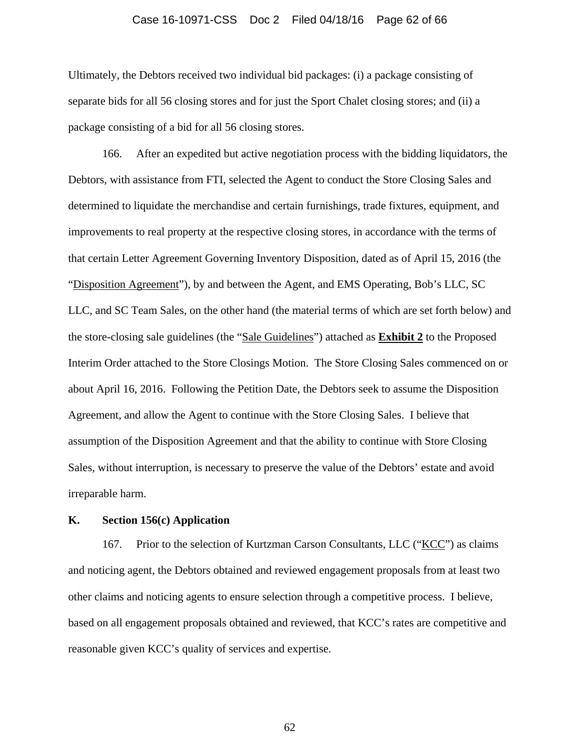#### Case 16-10971-CSS Doc 2 Filed 04/18/16 Page 62 of 66

Ultimately, the Debtors received two individual bid packages: (i) a package consisting of separate bids for all 56 closing stores and for just the Sport Chalet closing stores; and (ii) a package consisting of a bid for all 56 closing stores.

166. After an expedited but active negotiation process with the bidding liquidators, the Debtors, with assistance from FTI, selected the Agent to conduct the Store Closing Sales and determined to liquidate the merchandise and certain furnishings, trade fixtures, equipment, and improvements to real property at the respective closing stores, in accordance with the terms of that certain Letter Agreement Governing Inventory Disposition, dated as of April 15, 2016 (the "Disposition Agreement"), by and between the Agent, and EMS Operating, Bob's LLC, SC LLC, and SC Team Sales, on the other hand (the material terms of which are set forth below) and the store-closing sale guidelines (the "Sale Guidelines") attached as **Exhibit 2** to the Proposed Interim Order attached to the Store Closings Motion. The Store Closing Sales commenced on or about April 16, 2016. Following the Petition Date, the Debtors seek to assume the Disposition Agreement, and allow the Agent to continue with the Store Closing Sales. I believe that assumption of the Disposition Agreement and that the ability to continue with Store Closing Sales, without interruption, is necessary to preserve the value of the Debtors' estate and avoid irreparable harm.

# **K. Section 156(c) Application**

167. Prior to the selection of Kurtzman Carson Consultants, LLC ("KCC") as claims and noticing agent, the Debtors obtained and reviewed engagement proposals from at least two other claims and noticing agents to ensure selection through a competitive process. I believe, based on all engagement proposals obtained and reviewed, that KCC's rates are competitive and reasonable given KCC's quality of services and expertise.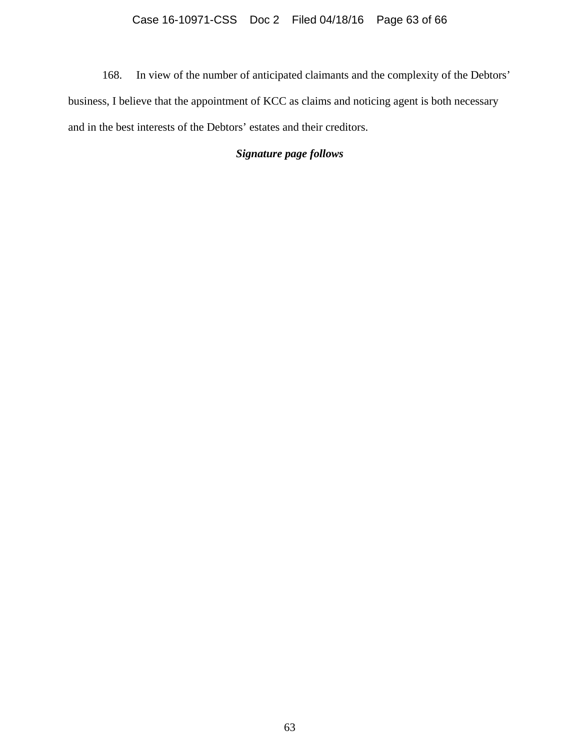168. In view of the number of anticipated claimants and the complexity of the Debtors' business, I believe that the appointment of KCC as claims and noticing agent is both necessary and in the best interests of the Debtors' estates and their creditors.

# *Signature page follows*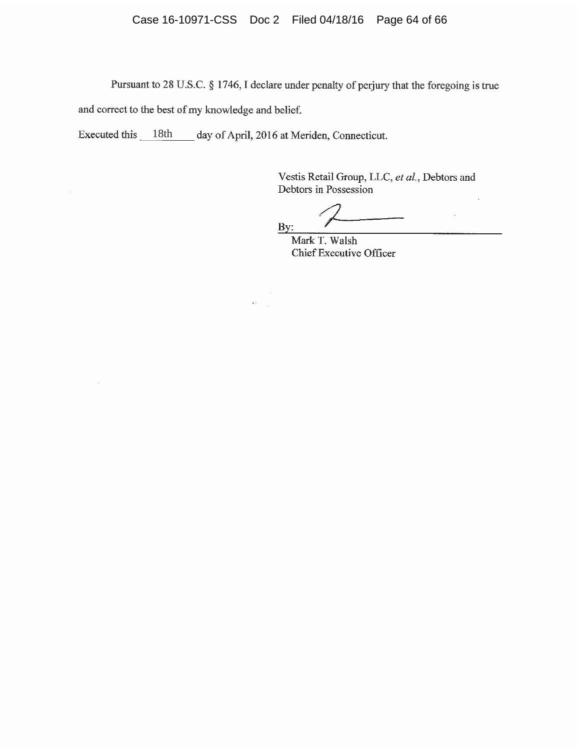Pursuant to 28 U.S.C. § 1746, I declare under penalty of perjury that the foregoing is true and correct to the best of my knowledge and belief.

> $\langle \hat{a} \rangle$  $\bar{\mathbf{x}}$  : i.

Executed this 18th day of April, 2016 at Meriden, Connecticut.

 $\widetilde{\mathbf{x}}$ 

Ň.

Vestis Retail Group, LLC, et al., Debtors and Debtors in Possession  $\bar{a}$ 

 $\bar{K}$ By:

Mark T. Walsh Chief Executive Officer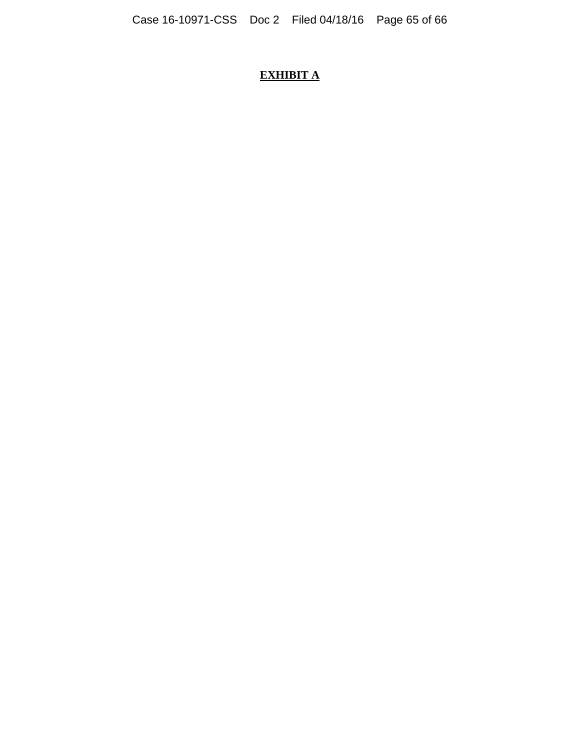# **EXHIBIT A**